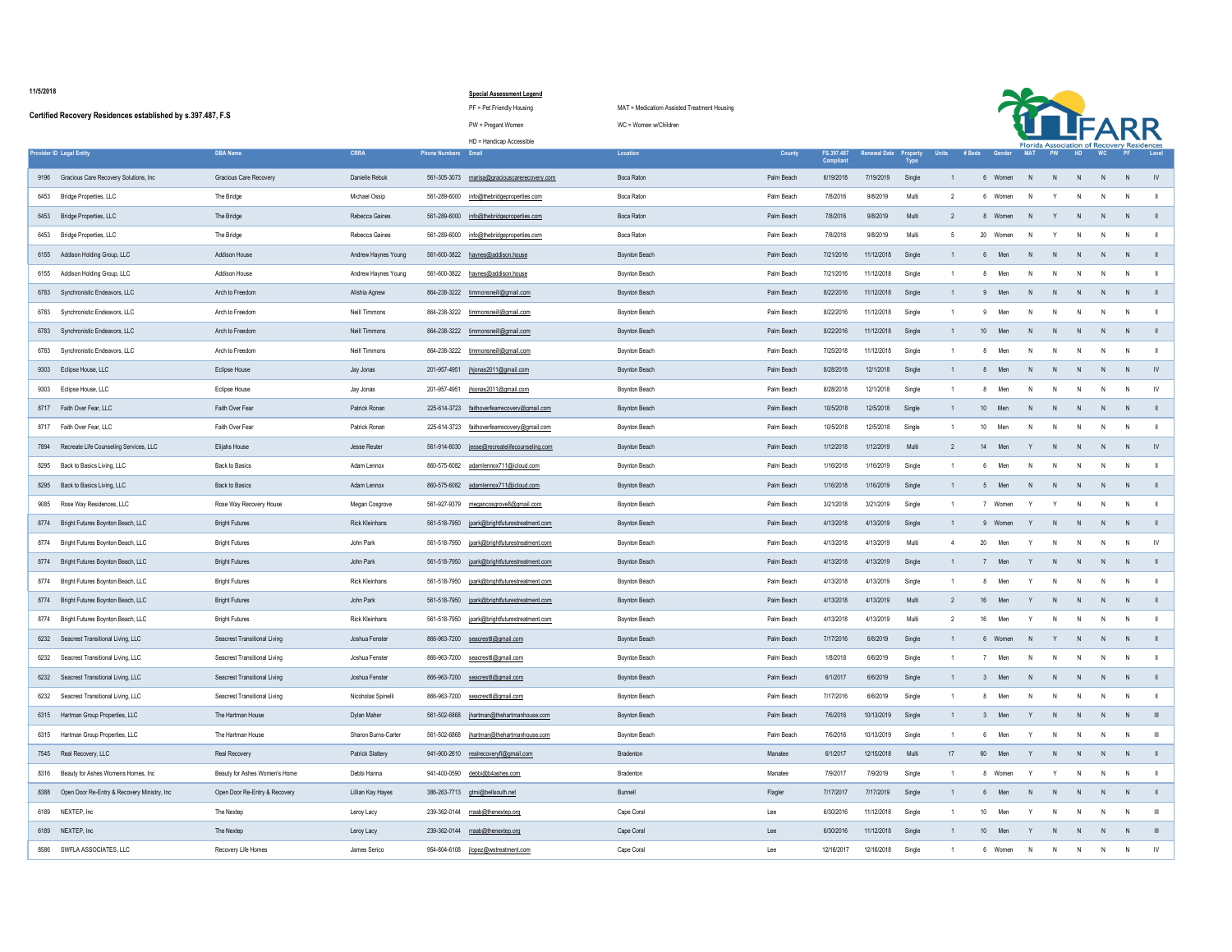## **Special Assessment Legend**

## HD = Handicap Accessible

|      | Certified Recovery Residences established by s.397.487, F.S. |                                     |                         |                            | PW = Pregant Women                            | WC = Women w/Children |               |                                |                     |                                |                        |                 |                |                |                                            |                |     |               |
|------|--------------------------------------------------------------|-------------------------------------|-------------------------|----------------------------|-----------------------------------------------|-----------------------|---------------|--------------------------------|---------------------|--------------------------------|------------------------|-----------------|----------------|----------------|--------------------------------------------|----------------|-----|---------------|
|      |                                                              |                                     |                         |                            | HD = Handicap Accessible                      |                       |               |                                |                     |                                |                        |                 |                |                | Florida Association of Recovery Residences |                |     |               |
|      | <b>Provider ID Legal Entity</b>                              | <b>DBA Name</b>                     | <b>CRRA</b>             | <b>Phone Numbers Email</b> |                                               | Location              | <b>County</b> | FS.397.487<br><b>Compliant</b> | <b>Renewal Date</b> | <b>Property</b><br><b>Type</b> | # Beds<br><b>Units</b> | Gender          | <b>MAT</b>     | <b>PW</b>      | HD.                                        |                |     | Level         |
|      | 9196 Gracious Care Recovery Solutions, Inc                   | <b>Gracious Care Recovery</b>       | Danielle Rebuk          | 561-305-3073               | marisa@graciouscarerecovery.com               | Boca Raton            | Palm Beach    | 6/19/2018                      | 7/19/2019           | Single                         |                        | Women           |                |                |                                            |                |     |               |
|      | 6453 Bridge Properties, LLC                                  | The Bridge                          | Michael Ossip           |                            | 561-289-6000 info@thebridgeproperties.com     | Boca Raton            | Palm Beach    | 7/8/2016                       | 9/8/2019            | Multi                          |                        | Women           |                |                |                                            |                |     |               |
|      | 6453 Bridge Properties, LLC                                  | The Bridge                          | Rebecca Gaines          |                            | 561-289-6000 info@thebridgeproperties.com     | Boca Raton            | Palm Beach    | 7/8/2016                       | 9/8/2019            | Multi                          |                        | Women           |                |                | N.                                         | N              |     |               |
|      | 6453 Bridge Properties, LLC                                  | The Bridge                          | Rebecca Gaines          |                            | 561-289-6000 info@thebridgeproperties.com     | Boca Raton            | Palm Beach    | 7/8/2016                       | 9/8/2019            | Multi                          |                        | $20\,$<br>Women |                |                |                                            |                |     |               |
|      | 6155 Addison Holding Group, LLC                              | <b>Addison House</b>                | Andrew Haynes Young     |                            | 561-600-3822 haynes@addison.house             | <b>Boynton Beach</b>  | Palm Beach    | 7/21/2016                      | 11/12/2018          | Single                         |                        | Men             |                |                |                                            | - N            |     |               |
|      | 6155 Addison Holding Group, LLC                              | <b>Addison House</b>                | Andrew Haynes Young     |                            | 561-600-3822 haynes@addison.house             | Boynton Beach         | Palm Beach    | 7/21/2016                      | 11/12/2018          | Single                         |                        | Men<br>8        | - N            | N.             | N                                          | $\overline{N}$ | N   |               |
|      | 6783 Synchronistic Endeavors, LLC                            | Arch to Freedom                     | Alishia Agnew           |                            | 864-238-3222 timmonsneill@gmail.com           | Boynton Beach         | Palm Beach    | 8/22/2016                      | 11/12/2018          | Single                         |                        | Men             |                | N.             | - N                                        | <sup>N</sup>   |     |               |
|      | 6783 Synchronistic Endeavors, LLC                            | Arch to Freedom                     | Neill Timmons           |                            | 864-238-3222 timmonsneill@gmail.com           | <b>Boynton Beach</b>  | Palm Beach    | 8/22/2016                      | 11/12/2018          | Single                         |                        | Men             |                |                |                                            |                |     |               |
|      | 6783 Synchronistic Endeavors, LLC                            | Arch to Freedom                     | Neill Timmons           |                            | 864-238-3222 timmonsneill@gmail.com           | <b>Boynton Beach</b>  | Palm Beach    | 8/22/2016                      | 11/12/2018          | Single                         |                        | 10<br>Men       |                | N.             | - N                                        | N              |     |               |
|      | 6783 Synchronistic Endeavors, LLC                            | Arch to Freedom                     | Neill Timmons           |                            | 864-238-3222 timmonsneill@gmail.com           | Boynton Beach         | Palm Beach    | 7/25/2018                      | 11/12/2018          | Single                         |                        | Men<br>8        |                |                |                                            |                |     |               |
|      | 9303 Eclipse House, LLC                                      | <b>Eclipse House</b>                | Jay Jonas               |                            |                                               | <b>Boynton Beach</b>  | Palm Beach    | 8/28/2018                      | 12/1/2018           | Single                         |                        | Men             |                |                |                                            |                |     |               |
| 9303 | Eclipse House, LLC                                           | Eclipse House                       | Jay Jonas               | 201-957-4951               | jhjonas2011@gmail.com                         | Boynton Beach         | Palm Beach    | 8/28/2018                      | 12/1/2018           | Single                         |                        | Men             |                |                |                                            |                |     |               |
|      | 8717 Faith Over Fear, LLC                                    | Faith Over Fear                     | Patrick Ronan           |                            | 225-614-3723 faithoverfearrecovery@gmail.com  | <b>Boynton Beach</b>  | Palm Beach    | 10/5/2018                      | 12/5/2018           | Single                         |                        | 10<br>Men       |                | N.             | N.                                         | N              |     |               |
|      | 8717 Faith Over Fear, LLC                                    | Faith Over Fear                     | Patrick Ronan           |                            | 225-614-3723 faithoverfearrecovery@gmail.com  | Boynton Beach         | Palm Beach    | 10/5/2018                      | 12/5/2018           | Single                         |                        | 10<br>Men       |                | N.             | N.                                         |                |     |               |
|      | 7894 Recreate Life Counseling Services, LLC                  | Elijahs House                       | Jesse Reuter            |                            | 561-914-6030 jesse@recreatelifecounseling.com | <b>Boynton Beach</b>  | Palm Beach    | 1/12/2018                      | 1/12/2019           | Multi                          |                        | Men<br>14       |                |                | N.                                         |                |     | - IV          |
|      | 8295 Back to Basics Living, LLC                              | <b>Back to Basics</b>               | Adam Lennox             |                            | 860-575-6082 adamlennox711@icloud.com         | Boynton Beach         | Palm Beach    | 1/16/2018                      | 1/16/2019           | Single                         |                        | Men<br>6        |                | N.             | N                                          | - N            |     |               |
|      | 8295 Back to Basics Living, LLC                              | <b>Back to Basics</b>               | Adam Lennox             |                            | 860-575-6082 adamlennox711@icloud.com         | <b>Boynton Beach</b>  | Palm Beach    | 1/16/2018                      | 1/16/2019           | Single                         |                        | Men<br>5        |                | N.             | N                                          | N              |     |               |
|      | 9085 Rose Way Residences, LLC                                | Rose Way Recovery House             | Megan Cosgrove          |                            | 561-927-9379 megancosgrove8@gmail.com         | Boynton Beach         | Palm Beach    | 3/21/2018                      | 3/21/2019           | Single                         |                        | Women           |                |                | N.                                         | - N            | - N |               |
|      | 8774 Bright Futures Boynton Beach, LLC                       | <b>Bright Futures</b>               | <b>Rick Kleinhans</b>   |                            | 561-518-7950 jpark@brightfuturestreatment.com | <b>Boynton Beach</b>  | Palm Beach    | 4/13/2018                      | 4/13/2019           | Single                         |                        | Women           |                | N.             | N                                          | N              |     |               |
|      | 8774 Bright Futures Boynton Beach, LLC                       | <b>Bright Futures</b>               | John Park               |                            | 561-518-7950 jpark@brightfuturestreatment.com | Boynton Beach         | Palm Beach    | 4/13/2018                      | 4/13/2019           | Multi                          |                        | 20<br>Men       |                | N.             | N.                                         | - N            | N.  | - IV          |
|      | 8774 Bright Futures Boynton Beach, LLC                       | <b>Bright Futures</b>               | John Park               |                            | 561-518-7950 jpark@brightfuturestreatment.com | <b>Boynton Beach</b>  | Palm Beach    | 4/13/2018                      | 4/13/2019           | Single                         |                        | Men             |                | N.             | N                                          | N              |     |               |
|      | 8774 Bright Futures Boynton Beach, LLC                       | <b>Bright Futures</b>               | <b>Rick Kleinhans</b>   |                            | 561-518-7950 jpark@brightfuturestreatment.com | Boynton Beach         | Palm Beach    | 4/13/2018                      | 4/13/2019           | Single                         |                        | Men             |                |                | $\mathsf{N}$                               |                | - N |               |
|      | 8774 Bright Futures Boynton Beach, LLC                       | <b>Bright Futures</b>               | John Park               |                            | 561-518-7950 jpark@brightfuturestreatment.com | Boynton Beach         | Palm Beach    | 4/13/2018                      | 4/13/2019           | Multi                          |                        | 16<br>Men       |                | N,             | N                                          | N              | N,  |               |
|      | 8774 Bright Futures Boynton Beach, LLC                       | <b>Bright Futures</b>               | <b>Rick Kleinhans</b>   |                            | 561-518-7950 jpark@brightfuturestreatment.com | Boynton Beach         | Palm Beach    | 4/13/2018                      | 4/13/2019           | Multi                          |                        | 16<br>Men       |                | N.             | N                                          | N              | N   |               |
|      | 6232 Seacrest Transitional Living, LLC                       | <b>Seacrest Transitional Living</b> | Joshua Fenster          |                            | 866-963-7200 seacresttl@gmail.com             | <b>Boynton Beach</b>  | Palm Beach    | 7/17/2016                      | 6/6/2019            | Single                         |                        | Women<br>6      | -N             |                | - N                                        | - N            | - N |               |
|      | 6232 Seacrest Transitional Living, LLC                       | <b>Seacrest Transitional Living</b> | Joshua Fenster          |                            | 866-963-7200 seacresttl@gmail.com             | Boynton Beach         | Palm Beach    | 1/8/2018                       | 6/6/2019            | Single                         |                        | 7 Men N N N N N |                |                |                                            |                |     |               |
|      | 6232 Seacrest Transitional Living, LLC                       | <b>Seacrest Transitional Living</b> | Joshua Fenster          |                            | 866-963-7200 seacresttl@gmail.com             | <b>Boynton Beach</b>  | Palm Beach    | 6/1/2017                       | 6/6/2019            | Single                         |                        | Men             |                | N              | N                                          | N              |     |               |
|      | 6232 Seacrest Transitional Living, LLC                       | <b>Seacrest Transitional Living</b> | Nicoholas Spinelli      |                            | 866-963-7200 seacresttl@gmail.com             | <b>Boynton Beach</b>  | Palm Beach    | 7/17/2016                      | 6/6/2019            | Single                         |                        | Men<br>8        | $\overline{N}$ | N              | N                                          |                |     |               |
|      | 6315 Hartman Group Properties, LLC                           | The Hartman House                   | Dylan Maher             |                            | 561-502-6868   jhartman@thehartmanhouse.com   | <b>Boynton Beach</b>  | Palm Beach    | 7/6/2016                       | 10/13/2019          | Single                         |                        | Men             |                |                | N.                                         |                |     |               |
|      | 6315 Hartman Group Properties, LLC                           | The Hartman House                   | Sharon Burns-Carter     |                            | 561-502-6868 jhartman@thehartmanhouse.com     | Boynton Beach         | Palm Beach    | 7/6/2016                       | 10/13/2019          | Single                         |                        | Men<br>6        |                | N.             | N                                          | - N            |     |               |
|      | 7545 Real Recovery, LLC                                      | Real Recovery                       | <b>Patrick Slattery</b> |                            | 941-900-2610 realrecoveryfl@gmail.com         | Bradenton             | Manatee       | 6/1/2017                       | 12/15/2018          | Multi                          | 17                     | 60<br>Men       |                | N <sub>1</sub> | N                                          | N              |     |               |
|      | 8316 Beauty for Ashes Womens Homes, Inc                      | Beauty for Ashes Women's Home       | Debbi Hanna             |                            | 941-400-0590 debbi@b4ashes.com                | <b>Bradenton</b>      | Manatee       | 7/9/2017                       | 7/9/2019            | Single                         |                        | 8 Women         |                |                |                                            |                |     |               |
|      | 8388 Open Door Re-Entry & Recovery Ministry, Inc             | Open Door Re-Entry & Recovery       | Lillian Kay Hayes       |                            | 386-263-7713 gtmi@bellsouth.net               | Bunnell               | Flagler       | 7/17/2017                      | 7/17/2019           | Single                         |                        | Men<br>6        |                |                | N                                          | $\mathsf{N}$   |     |               |
|      | 6189 NEXTEP, Inc                                             | The Nextep                          | Leroy Lacy              |                            | 239-362-0144 rraab@thenextep.org              | Cape Coral            | Lee           | 6/30/2016                      | 11/12/2018          | Single                         |                        | 10<br>Men       | Y              | N              | N                                          | N              | N   |               |
|      | 6189 NEXTEP, Inc                                             | The Nextep                          | Leroy Lacy              |                            | 239-362-0144 rraab@thenextep.org              | Cape Coral            | Lee           | 6/30/2016                      | 11/12/2018          | Single                         |                        | 10<br>Men       |                | N              | N                                          | N              |     |               |
|      | 8586 SWFLA ASSOCIATES, LLC                                   | Recovery Life Homes                 | James Serico            |                            | 954-804-6108 jlopez@wstreatment.com           | Cape Coral            | Lee           | 12/16/2017                     | 12/16/2018          | Single                         |                        | Women<br>6      |                |                |                                            |                |     | $\mathsf{IV}$ |

## PF = Pet Friendly Housing extending the MAT = Medicatiom Assisted Treatment Housing



## **11/5/2018**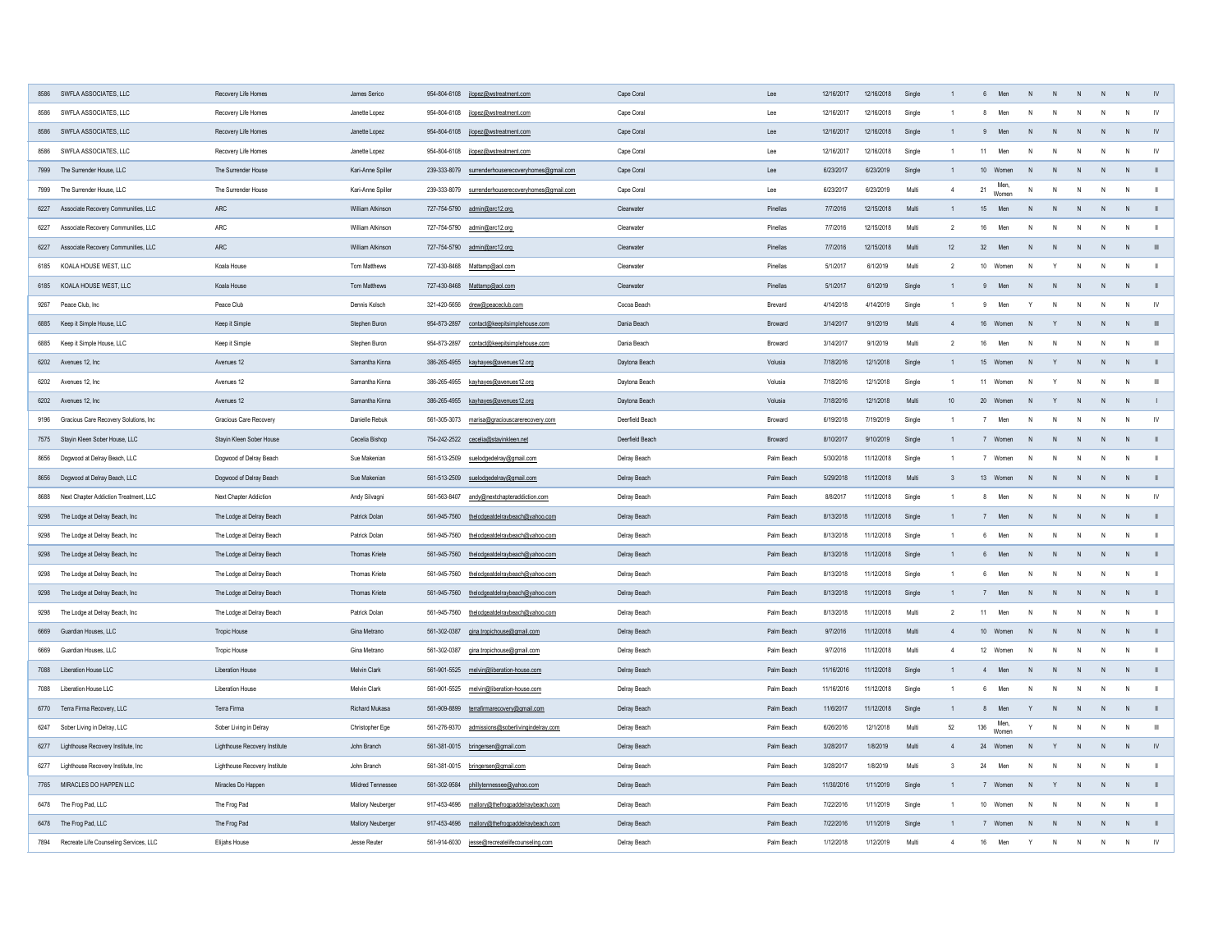| 8586 SWFLA ASSOCIATES, LLC                     | Recovery Life Homes           | James Serico             | 954-804-6108 jlopez@wstreatment.com                   | Cape Coral      | Lee            | 12/16/2017 | 12/16/2018 | Single |    | Men<br>6.           | N.           | N.           |                |                |
|------------------------------------------------|-------------------------------|--------------------------|-------------------------------------------------------|-----------------|----------------|------------|------------|--------|----|---------------------|--------------|--------------|----------------|----------------|
| 8586 SWFLA ASSOCIATES, LLC                     | Recovery Life Homes           | Janette Lopez            | 954-804-6108<br>jlopez@wstreatment.com                | Cape Coral      | Lee            | 12/16/2017 | 12/16/2018 | Single |    | Men                 |              | N            | - N            |                |
| 8586 SWFLA ASSOCIATES, LLC                     | Recovery Life Homes           | Janette Lopez            | 954-804-6108<br>jlopez@wstreatment.com                | Cape Coral      | Lee            | 12/16/2017 | 12/16/2018 | Single |    | Men                 | <sup>N</sup> | <sup>N</sup> |                |                |
| 8586 SWFLA ASSOCIATES, LLC                     | Recovery Life Homes           | Janette Lopez            | 954-804-6108 jlopez@wstreatment.com                   | Cape Coral      | Lee            | 12/16/2017 | 12/16/2018 | Single |    | Men<br>11           | N            | N            | N              |                |
| 7999 The Surrender House, LLC                  | The Surrender House           | Kari-Anne Spiller        | 239-333-8079 surrenderhouserecoveryhomes@gmail.com    | Cape Coral      | Lee            | 6/23/2017  | 6/23/2019  | Single |    | 10<br>Women         |              | -N           |                |                |
| 7999 The Surrender House, LLC                  | The Surrender House           | Kari-Anne Spiller        | 239-333-8079<br>surrenderhouserecoveryhomes@gmail.com | Cape Coral      | Lee            | 6/23/2017  | 6/23/2019  | Multi  |    | Men,<br>21<br>Women | $\mathsf{N}$ | N            | N              |                |
| 6227 Associate Recovery Communities, LLC       | ARC                           | William Atkinson         | 727-754-5790 admin@arc12.org                          | Clearwater      | Pinellas       | 7/7/2016   | 12/15/2018 | Multi  |    | Men<br>15           |              | <sup>N</sup> |                |                |
| 6227 Associate Recovery Communities, LLC       | ARC                           | William Atkinson         | 727-754-5790 admin@arc12.org                          | Clearwater      | Pinellas       | 7/7/2016   | 12/15/2018 | Multi  |    | Men<br>16           | N.           | N.           | - N            |                |
| 6227 Associate Recovery Communities, LLC       | ARC                           | <b>William Atkinson</b>  | 727-754-5790 admin@arc12.org                          | Clearwater      | Pinellas       | 7/7/2016   | 12/15/2018 | Multi  | 12 | 32<br>Men           | N.           | N            |                |                |
| 6185 KOALA HOUSE WEST, LLC                     | Koala House                   | Tom Matthews             | 727-430-8468 Mattamp@aol.com                          | Clearwater      | Pinellas       | 5/1/2017   | 6/1/2019   | Multi  |    | 10<br>Women         | N.           | <sup>N</sup> | N              |                |
| 6185 KOALA HOUSE WEST, LLC                     | Koala House                   | Tom Matthews             | 727-430-8468 Mattamp@aol.com                          | Clearwater      | Pinellas       | 5/1/2017   | 6/1/2019   | Single |    | Men                 | N.           | $\mathsf{N}$ | N              |                |
| 9267<br>Peace Club, Inc                        | Peace Club                    | Dennis Kolsch            | 321-420-5656 drew@peaceclub.com                       | Cocoa Beach     | <b>Brevard</b> | 4/14/2018  | 4/14/2019  | Single |    | Men<br>9            | Y<br>- N     | N            | N              | <b>IV</b>      |
| 6885 Keep it Simple House, LLC                 | Keep it Simple                | Stephen Buron            | contact@keepitsimplehouse.com<br>954-873-2897         | Dania Beach     | <b>Broward</b> | 3/14/2017  | 9/1/2019   | Multi  |    | 16 Women            | -N           | $\mathsf{N}$ | - N            |                |
| Keep it Simple House, LLC<br>6885              | Keep it Simple                | Stephen Buron            | 954-873-2897<br>contact@keepitsimplehouse.com         | Dania Beach     | <b>Broward</b> | 3/14/2017  | 9/1/2019   | Multi  |    | Men<br>16           | N.           |              | $\overline{N}$ | $\mathbf{III}$ |
| 6202 Avenues 12, Inc                           | Avenues 12                    | Samantha Kinna           | 386-265-4955 kayhayes@avenues12.org                   | Daytona Beach   | Volusia        | 7/18/2016  | 12/1/2018  | Single |    | 15<br>Women         |              | N.           | - N            |                |
| 6202 Avenues 12, Inc                           | Avenues 12                    | Samantha Kinna           | 386-265-4955 kayhayes@avenues12.org                   | Daytona Beach   | Volusia        | 7/18/2016  | 12/1/2018  | Single |    | 11<br>Women         | N.           | N            | N              | - III          |
| 6202 Avenues 12, Inc                           | Avenues 12                    | Samantha Kinna           | 386-265-4955 kayhayes@avenues12.org                   | Daytona Beach   | Volusia        | 7/18/2016  | 12/1/2018  | Multi  | 10 | 20<br>Women         | -N           | -N           |                |                |
| 9196 Gracious Care Recovery Solutions, Inc     | <b>Gracious Care Recovery</b> | Danielle Rebuk           | 561-305-3073<br>marisa@graciouscarerecovery.com       | Deerfield Beach | <b>Broward</b> | 6/19/2018  | 7/19/2019  | Single |    | Men                 | N            | N            | N              | <b>IV</b>      |
| 7575 Stayin Kleen Sober House, LLC             | Stayin Kleen Sober House      | Cecelia Bishop           | 754-242-2522 cecelia@stayinkleen.net                  | Deerfield Beach | Broward        | 8/10/2017  | 9/10/2019  | Single |    | Women               | -N<br>-N     | N            | - N            |                |
| 8656 Dogwood at Delray Beach, LLC              | Dogwood of Delray Beach       | Sue Makenian             | 561-513-2509<br>suelodgedelray@gmail.com              | Delray Beach    | Palm Beach     | 5/30/2018  | 1/12/2018  | Single |    | Women               | N.           | N            | - N            |                |
| 8656 Dogwood at Delray Beach, LLC              | Dogwood of Delray Beach       | Sue Makenian             | 561-513-2509<br>suelodgedelray@gmail.com              | Delray Beach    | Palm Beach     | 5/29/2018  | 11/12/2018 | Multi  |    | 13<br>Women         |              | $\mathsf{N}$ | - N            |                |
| Next Chapter Addiction Treatment, LLC<br>8688  | <b>Next Chapter Addiction</b> | Andy Silvagni            | 561-563-8407<br>andy@nextchapteraddiction.com         | Delray Beach    | Palm Beach     | 8/8/2017   | 11/12/2018 | Single |    | Men<br>8            | N<br>- N     | N            | N              | <b>IV</b>      |
| 9298 The Lodge at Delray Beach, Inc            | The Lodge at Delray Beach     | Patrick Dolan            | 561-945-7560<br>thelodgeatdelraybeach@yahoo.com       | Delray Beach    | Palm Beach     | 8/13/2018  | 11/12/2018 | Single |    | Men                 | <sup>N</sup> | $\mathsf{N}$ | $\blacksquare$ |                |
| The Lodge at Delray Beach, Inc<br>9298         | The Lodge at Delray Beach     | Patrick Dolan            | 561-945-7560<br>thelodgeatdelraybeach@yahoo.com       | Delray Beach    | Palm Beach     | 8/13/2018  | 1/12/2018  | Single |    | Men<br>6            | N            | N            | N              |                |
| 9298 The Lodge at Delray Beach, Inc            | The Lodge at Delray Beach     | <b>Thomas Kriete</b>     | 561-945-7560<br>thelodgeatdelraybeach@yahoo.com       | Delray Beach    | Palm Beach     | 8/13/2018  | 11/12/2018 | Single |    | Men<br>6.           | N            | N            | N              |                |
| The Lodge at Delray Beach, Inc<br>9298         | The Lodge at Delray Beach     | <b>Thomas Kriete</b>     | 561-945-7560<br>thelodgeatdelraybeach@yahoo.com       | Delray Beach    | Palm Beach     | 8/13/2018  | 11/12/2018 | Single |    | Men                 | N            | N            | N              |                |
| 9298 The Lodge at Delray Beach, Inc            | The Lodge at Delray Beach     | Thomas Kriete            | 561-945-7560<br>thelodgeatdelraybeach@yahoo.com       | Delray Beach    | Palm Beach     | 8/13/2018  | 11/12/2018 | Single |    | Men                 | N,           | N            | N              |                |
| The Lodge at Delray Beach, Inc<br>9298         | The Lodge at Delray Beach     | Patrick Dolan            | 561-945-7560<br>thelodgeatdelraybeach@yahoo.com       | Delray Beach    | Palm Beach     | 8/13/2018  | 11/12/2018 | Multi  |    | Men<br>11           | N            | N            |                |                |
| 6669 Guardian Houses, LLC                      | <b>Tropic House</b>           | Gina Metrano             | 561-302-0387 gina.tropichouse@gmail.com               | Delray Beach    | Palm Beach     | 9/7/2016   | 11/12/2018 | Multi  |    | 10<br>Women         | $\mathsf{N}$ | N            |                |                |
| 6669 Guardian Houses, LLC                      | <b>Tropic House</b>           | Gina Metrano             | 561-302-0387<br>gina.tropichouse@gmail.com            | Delray Beach    | Palm Beach     | 9/7/2016   | 11/12/2018 | Multi  |    | 12 Women            | N            | N            | - N            |                |
| 7088 Liberation House LLC                      | <b>Liberation House</b>       | <b>Melvin Clark</b>      | 561-901-5525 melvin@liberation-house.com              | Delray Beach    | Palm Beach     | 11/16/2016 | 11/12/2018 | Single |    | Men<br>4            | N            | N            |                |                |
| 7088 Liberation House LLC                      | <b>Liberation House</b>       | <b>Melvin Clark</b>      | 561-901-5525 melvin@liberation-house.com              | Delray Beach    | Palm Beach     | 11/16/2016 | 11/12/2018 | Single |    | Men                 | N            | N            |                |                |
| 6770 Terra Firma Recovery, LLC                 | Terra Firma                   | Richard Mukasa           | 561-909-8899 terrafirmarecovery@gmail.com             | Delray Beach    | Palm Beach     | 11/6/2017  | 11/12/2018 | Single |    | Men<br>8            |              | N            |                |                |
| 6247 Sober Living in Delray, LLC               | Sober Living in Delray        | Christopher Ege          | 561-276-9370<br>admissions@soberlivingindelray.com    | Delray Beach    | Palm Beach     | 6/26/2016  | 12/1/2018  | Multi  | 52 | Men,<br>136         |              | $\mathsf{N}$ | N              | $\mathbf{III}$ |
| 6277 Lighthouse Recovery Institute, Inc        | Lighthouse Recovery Institute | John Branch              | 561-381-0015 bringersen@gmail.com                     | Delray Beach    | Palm Beach     | 3/28/2017  | 1/8/2019   | Multi  |    | Women<br>24 Women   | N.           | -N           |                |                |
| 6277 Lighthouse Recovery Institute, Inc        | Lighthouse Recovery Institute | John Branch              | 561-381-0015 bringersen@gmail.com                     | Delray Beach    | Palm Beach     | 3/28/2017  | 1/8/2019   | Multi  |    | 24<br>Men           | N            | N            | N              |                |
| 7765 MIRACLES DO HAPPEN LLC                    | Miracles Do Happen            | <b>Mildred Tennessee</b> | 561-302-9584 phillytennessee@yahoo.com                | Delray Beach    | Palm Beach     | 11/30/2016 | 1/11/2019  | Single |    | Women               | N.           | N            | N              |                |
|                                                |                               |                          | 917-453-4696                                          |                 | Palm Beach     | 7/22/2016  | 1/11/2019  |        |    | 10 Women            | N            | N            | $\overline{N}$ |                |
| 6478 The Frog Pad, LLC                         | The Frog Pad                  | <b>Mallory Neuberger</b> | mallory@thefrogpaddelraybeach.com                     | Delray Beach    |                |            |            | Single |    |                     |              |              |                |                |
| 6478 The Frog Pad, LLC                         | The Frog Pad                  | <b>Mallory Neuberger</b> | 917-453-4696<br>mallory@thefrogpaddelraybeach.com     | Delray Beach    | Palm Beach     | 7/22/2016  | 1/11/2019  | Single |    | Women               | $\mathsf{N}$ | N            | $\overline{N}$ |                |
| Recreate Life Counseling Services, LLC<br>7894 | Elijahs House                 | Jesse Reuter             | 561-914-6030<br>jesse@recreatelifecounseling.com      | Delray Beach    | Palm Beach     | 1/12/2018  | 1/12/2019  | Multi  |    | Men<br>16           | Y<br>- N     | N            | N              | <b>IV</b>      |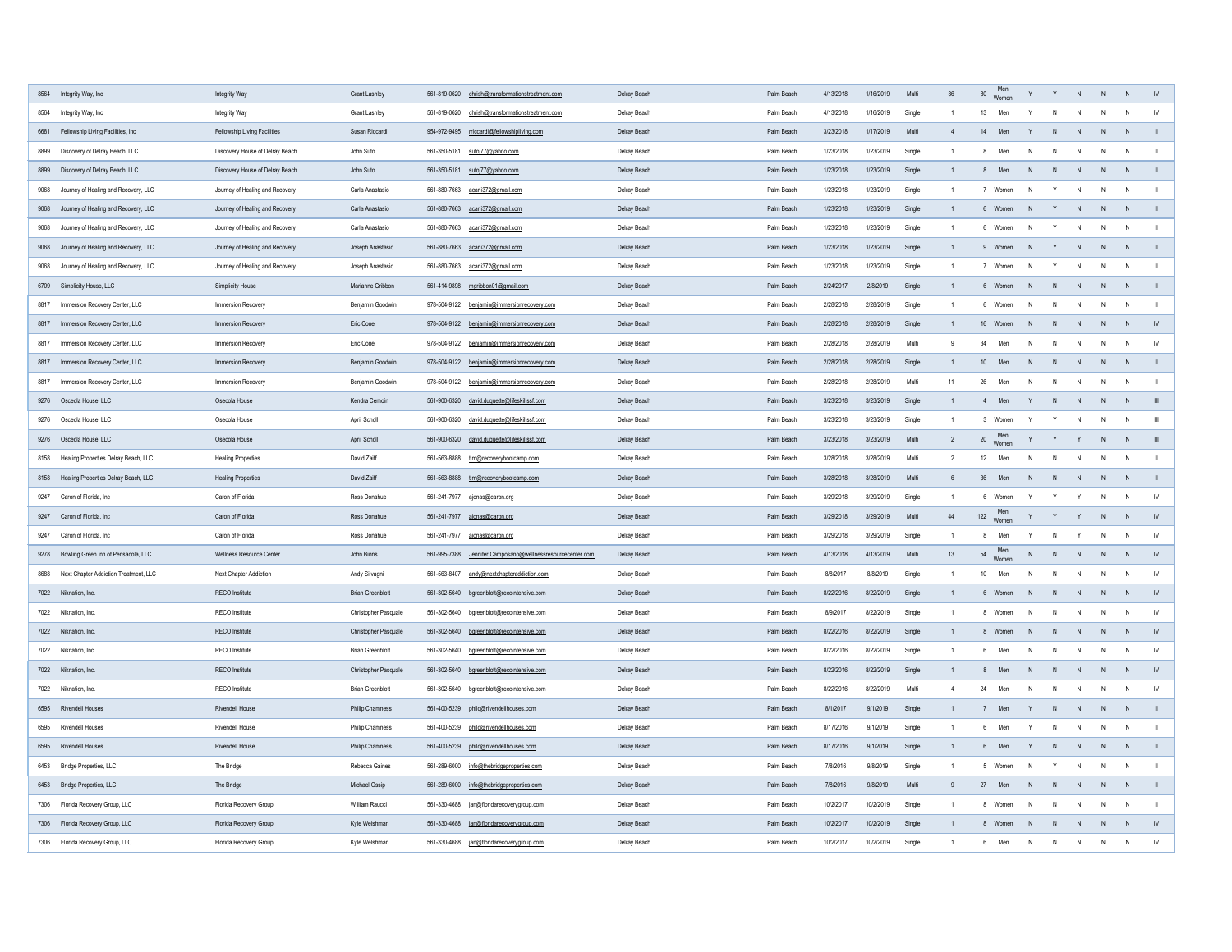| 8564 Integrity Way, Inc                      | Integrity Way                       | <b>Grant Lashley</b>        | 561-819-0620<br>chrish@transformationstreatment.com           | Delray Beach | Palm Beach | 4/13/2018 | 1/16/2019<br>Multi  | 36 | Men,<br>Women<br>80         |              | $\mathsf{N}$ |                | IV            |
|----------------------------------------------|-------------------------------------|-----------------------------|---------------------------------------------------------------|--------------|------------|-----------|---------------------|----|-----------------------------|--------------|--------------|----------------|---------------|
| 8564 Integrity Way, Inc                      | Integrity Way                       | <b>Grant Lashley</b>        | 561-819-0620<br>chrish@transformationstreatment.com           | Delray Beach | Palm Beach | 4/13/2018 | 1/16/2019<br>Single |    | Men                         |              | N            | $\mathsf{N}$   |               |
| 6681 Fellowship Living Facilities, Inc       | <b>Fellowship Living Facilities</b> | Susan Riccardi              | 954-972-9495 rriccardi@fellowshipliving.com                   | Delray Beach | Palm Beach | 3/23/2018 | 1/17/2019<br>Multi  |    | Men<br>14                   |              | $\mathsf{N}$ | - N            |               |
| Discovery of Delray Beach, LLC<br>8899       | Discovery House of Delray Beach     | John Suto                   | sutoj77@yahoo.com<br>561-350-5181                             | Delray Beach | Palm Beach | 1/23/2018 | 1/23/2019<br>Single |    | Men<br>N                    |              | <sup>N</sup> | - N            |               |
| Discovery of Delray Beach, LLC<br>8899       | Discovery House of Delray Beach     | John Suto                   | sutoj77@yahoo.com<br>561-350-5181                             | Delray Beach | Palm Beach | 1/23/2018 | 1/23/2019<br>Single |    | Men                         |              | $\mathsf{N}$ | $\overline{N}$ |               |
| Journey of Healing and Recovery, LLC<br>9068 | Journey of Healing and Recovery     | Carla Anastasio             | 561-880-7663   earli372@gmail.com                             | Delray Beach | Palm Beach | 1/23/2018 | 1/23/2019<br>Single |    | Women<br>N                  |              | N            | N              |               |
| 9068<br>Journey of Healing and Recovery, LLC | Journey of Healing and Recovery     | Carla Anastasio             | 561-880-7663<br>acarli372@gmail.com                           | Delray Beach | Palm Beach | 1/23/2018 | 1/23/2019<br>Single |    | Women                       |              | $\mathsf{N}$ | $\overline{N}$ |               |
| Journey of Healing and Recovery, LLC<br>9068 | Journey of Healing and Recovery     | Carla Anastasio             | 561-880-7663<br>acarli372@gmail.com                           | Delray Beach | Palm Beach | 1/23/2018 | 1/23/2019<br>Single |    | Women<br>N.                 |              | N            | N              |               |
| 9068 Journey of Healing and Recovery, LLC    | Journey of Healing and Recovery     | Joseph Anastasio            | acarli372@gmail.com<br>561-880-7663                           | Delray Beach | Palm Beach | 1/23/2018 | 1/23/2019<br>Single |    | Women                       |              | $\mathsf{N}$ | $\overline{N}$ |               |
| Journey of Healing and Recovery, LLC<br>9068 | Journey of Healing and Recovery     | Joseph Anastasio            | 561-880-7663 acarli372@gmail.com                              | Delray Beach | Palm Beach | 1/23/2018 | 1/23/2019<br>Single |    | Women<br>N.                 |              | $\mathsf{N}$ | - N            |               |
| 6709 Simplicity House, LLC                   | <b>Simplicity House</b>             | Marianne Gribbon            | 561-414-9898 mgribbon01@gmail.com                             | Delray Beach | Palm Beach | 2/24/2017 | 2/8/2019<br>Single  |    | Women<br>N.                 |              | $\mathsf{N}$ | N              |               |
| Immersion Recovery Center, LLC<br>8817       | Immersion Recovery                  | Benjamin Goodwin            | 978-504-9122<br>benjamin@immersionrecovery.com                | Delray Beach | Palm Beach | 2/28/2018 | 2/28/2019<br>Single |    | Women<br>N                  |              | $\mathsf{N}$ | N              |               |
| 8817 Immersion Recovery Center, LLC          | <b>Immersion Recovery</b>           | Eric Cone                   | 978-504-9122<br>benjamin@immersionrecovery.com                | Delray Beach | Palm Beach | 2/28/2018 | 2/28/2019<br>Single |    | 16<br>Women<br>-N           | -N           | N            | - N            |               |
| Immersion Recovery Center, LLC<br>8817       | Immersion Recovery                  | Eric Cone                   | benjamin@immersionrecovery.com<br>978-504-9122                | Delray Beach | Palm Beach | 2/28/2018 | 2/28/2019<br>Multi  |    | Men<br>34<br>N              |              | N            | N              | <b>IV</b>     |
| Immersion Recovery Center, LLC<br>8817       | Immersion Recovery                  | Benjamin Goodwin            | 978-504-9122 benjamin@immersionrecovery.com                   | Delray Beach | Palm Beach | 2/28/2018 | 2/28/2019<br>Single |    | 10<br>Men<br>N <sub>1</sub> |              | N            | N              |               |
| 8817 Immersion Recovery Center, LLC          | Immersion Recovery                  | Benjamin Goodwin            | 978-504-9122 benjamin@immersionrecovery.com                   | Delray Beach | Palm Beach | 2/28/2018 | 2/28/2019<br>Multi  |    | 26<br>Men                   |              | N            |                |               |
| 9276 Osceola House, LLC                      | Osecola House                       | Kendra Cemoin               | 561-900-6320 david.duquette@lifeskillssf.com                  | Delray Beach | Palm Beach | 3/23/2018 | 3/23/2019<br>Single |    | Men                         |              | $\mathsf{N}$ |                |               |
| 9276 Osceola House, LLC                      | Osecola House                       | April Scholl                | 561-900-6320 david.duquette@lifeskillssf.com                  | Delray Beach | Palm Beach | 3/23/2018 | 3/23/2019<br>Single |    | Women                       |              | N            | N              | - III         |
| 9276 Osceola House, LLC                      | Osecola House                       | <b>April Scholl</b>         | 561-900-6320<br>david.duquette@lifeskillssf.com               | Delray Beach | Palm Beach | 3/23/2018 | 3/23/2019<br>Multi  |    | 20 Men,<br>Women            |              | N            |                |               |
| 8158 Healing Properties Delray Beach, LLC    | <b>Healing Properties</b>           | David Zaiff                 | 561-563-8888<br>tim@recoverybootcamp.com                      | Delray Beach | Palm Beach | 3/28/2018 | 3/28/2019<br>Multi  |    | Men<br>N.                   |              | N            | N              |               |
| 8158 Healing Properties Delray Beach, LLC    | <b>Healing Properties</b>           | David Zaiff                 | 561-563-8888 tim@recoverybootcamp.com                         | Delray Beach | Palm Beach | 3/28/2018 | 3/28/2019<br>Multi  |    | 36<br>Men<br>N.             |              | N            | - N            |               |
| 9247 Caron of Florida, Inc                   | Caron of Florida                    | Ross Donahue                | 561-241-7977 ajonas@caron.org                                 | Delray Beach | Palm Beach | 3/29/2018 | 3/29/2019<br>Single |    | Women                       |              | N            | N              |               |
| 9247 Caron of Florida, Inc                   | Caron of Florida                    | Ross Donahue                | 561-241-7977 ajonas@caron.org                                 | Delray Beach | Palm Beach | 3/29/2018 | 3/29/2019<br>Multi  | 44 | Men,<br>122 Women           |              | N            |                |               |
| Caron of Florida, Inc<br>9247                | Caron of Florida                    | Ross Donahue                | 561-241-7977 ajonas@caron.org                                 | Delray Beach | Palm Beach | 3/29/2018 | 3/29/2019<br>Single |    | Men                         |              | N            | N              | <b>IV</b>     |
| 9278 Bowling Green Inn of Pensacola, LLC     | Wellness Resource Center            | John Binns                  | Jennifer.Camposano@wellnessresourcecenter.com<br>561-995-7388 | Delray Beach | Palm Beach | 4/13/2018 | 4/13/2019<br>Multi  | 13 | Men,<br>Women<br>54<br>N    |              | N            |                |               |
| 8688 Next Chapter Addiction Treatment, LLC   | <b>Next Chapter Addiction</b>       | Andy Silvagni               | 561-563-8407<br>andy@nextchapteraddiction.com                 | Delray Beach | Palm Beach | 8/8/2017  | 8/8/2019<br>Single  |    | 10<br>Men<br>N.             |              | $\mathsf{N}$ | N              | <b>IV</b>     |
| 7022 Niknation, Inc.                         | <b>RECO</b> Institute               | <b>Brian Greenblott</b>     | 561-302-5640 bgreenblott@recointensive.com                    | Delray Beach | Palm Beach | 8/22/2016 | 8/22/2019<br>Single |    | Women<br>N.                 |              | N            | N              |               |
| 7022 Niknation, Inc.                         | <b>RECO</b> Institute               | Christopher Pasquale        | 561-302-5640<br>bgreenblott@recointensive.com                 | Delray Beach | Palm Beach | 8/9/2017  | 8/22/2019<br>Single |    | Women<br>N<br>8             |              | N            | $\overline{N}$ | <b>IV</b>     |
| 7022<br>Niknation, Inc.                      | <b>RECO</b> Institute               | Christopher Pasquale        | 561-302-5640 bgreenblott@recointensive.com                    | Delray Beach | Palm Beach | 8/22/2016 | 8/22/2019<br>Single |    | Women                       |              | N            | N              |               |
| 7022 Niknation, Inc.                         | <b>RECO</b> Institute               | <b>Brian Greenblott</b>     | 561-302-5640 bgreenblott@recointensive.com                    | Delray Beach | Palm Beach | 8/22/2016 | 8/22/2019<br>Single |    | Men<br>$\mathsf{N}$         |              | N            | $\mathsf{N}$   | <b>IV</b>     |
| 7022 Niknation, Inc.                         | <b>RECO</b> Institute               | <b>Christopher Pasquale</b> | 561-302-5640 bgreenblott@recointensive.com                    | Delray Beach | Palm Beach | 8/22/2016 | 8/22/2019<br>Single |    | Men<br>N<br>8               | N.           | N            |                |               |
| 7022 Niknation, Inc.                         | <b>RECO</b> Institute               | <b>Brian Greenblott</b>     | 561-302-5640 bgreenblott@recointensive.com                    | Delray Beach | Palm Beach | 8/22/2016 | 8/22/2019<br>Multi  |    | 24<br>Men<br>N.             |              | N            | $\mathsf{N}$   |               |
| 6595 Rivendell Houses                        | <b>Rivendell House</b>              | <b>Philip Chamness</b>      | 561-400-5239 philc@rivendellhouses.com                        | Delray Beach | Palm Beach | 8/1/2017  | 9/1/2019<br>Single  |    | Men                         |              | <sup>N</sup> |                |               |
| 6595 Rivendell Houses                        | <b>Rivendell House</b>              | <b>Philip Chamness</b>      | 561-400-5239<br>philc@rivendellhouses.com                     | Delray Beach | Palm Beach | 8/17/2016 | 9/1/2019<br>Single  |    | Men                         |              | N            |                |               |
| 6595 Rivendell Houses                        | <b>Rivendell House</b>              | <b>Philip Chamness</b>      | 561-400-5239 philc@rivendellhouses.com                        | Delray Beach | Palm Beach | 8/17/2016 | 9/1/2019<br>Single  |    | Men<br>6                    |              | N            | N              |               |
| 6453 Bridge Properties, LLC                  | The Bridge                          | Rebecca Gaines              | 561-289-6000<br>info@thebridgeproperties.com                  | Delray Beach | Palm Beach | 7/8/2016  | 9/8/2019<br>Single  |    | Women<br>N                  |              | N            | N              |               |
| 6453 Bridge Properties, LLC                  | The Bridge                          | Michael Ossip               | 561-289-6000 info@thebridgeproperties.com                     | Delray Beach | Palm Beach | 7/8/2016  | 9/8/2019<br>Multi   |    | 27<br>Men<br>N              |              | N            |                |               |
| 7306 Florida Recovery Group, LLC             | Florida Recovery Group              | William Raucci              | 561-330-4688 jan@floridarecoverygroup.com                     | Delray Beach | Palm Beach | 10/2/2017 | 10/2/2019<br>Single |    | Women<br>N<br>8             |              | N            | N              |               |
| 7306 Florida Recovery Group, LLC             | Florida Recovery Group              | Kyle Welshman               | 561-330-4688 jan@floridarecoverygroup.com                     | Delray Beach | Palm Beach | 10/2/2017 | 10/2/2019<br>Single |    | Women<br>8<br>N             | <sup>N</sup> | N            | N              | $\mathsf{IV}$ |
| 7306 Florida Recovery Group, LLC             | Florida Recovery Group              | Kyle Welshman               | jan@floridarecoverygroup.com<br>561-330-4688                  | Delray Beach | Palm Beach | 10/2/2017 | 10/2/2019<br>Single |    | Men<br>N                    |              | N            | N              | IV            |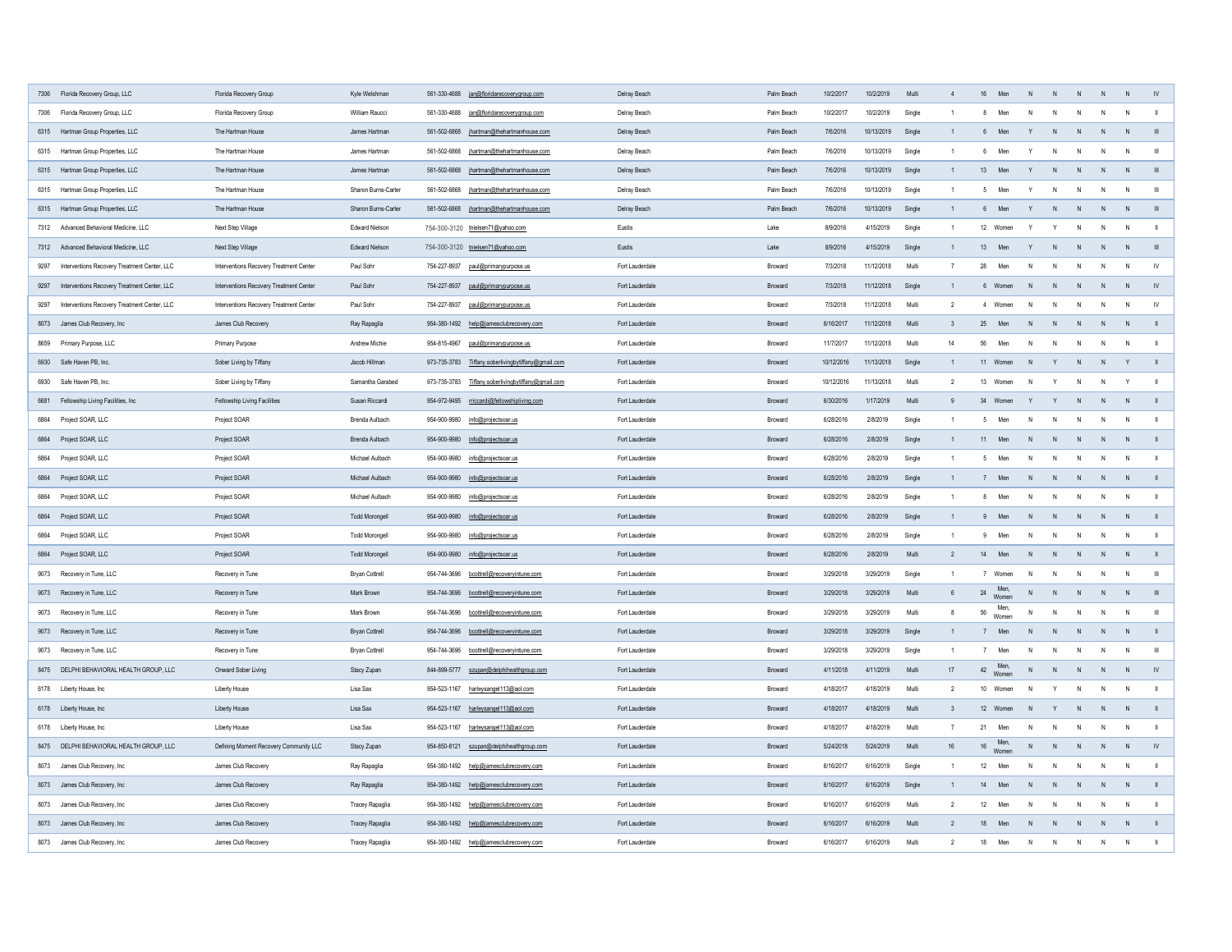| 7306 Florida Recovery Group, LLC                     | Florida Recovery Group                  | Kyle Welshman         | 561-330-4688 jan@floridarecoverygroup.com              | Delray Beach    | Palm Beach     | 10/2/2017  | 10/2/2019  | Multi  |    | 16<br>Men           |                     |    | N            |                |                |
|------------------------------------------------------|-----------------------------------------|-----------------------|--------------------------------------------------------|-----------------|----------------|------------|------------|--------|----|---------------------|---------------------|----|--------------|----------------|----------------|
| 7306 Florida Recovery Group, LLC                     | Florida Recovery Group                  | William Raucci        | jan@floridarecoverygroup.com<br>561-330-4688           | Delray Beach    | Palm Beach     | 10/2/2017  | 10/2/2019  | Single |    | Men                 | N.                  |    | -N           | - N            |                |
| 6315 Hartman Group Properties, LLC                   | The Hartman House                       | James Hartman         | 561-502-6868 jhartman@thehartmanhouse.com              | Delray Beach    | Palm Beach     | 7/6/2016   | 10/13/2019 | Single |    | Men<br>6            |                     |    | N            | - N            |                |
| 6315 Hartman Group Properties, LLC                   | The Hartman House                       | James Hartman         | 561-502-6868<br>jhartman@thehartmanhouse.com           | Delray Beach    | Palm Beach     | 7/6/2016   | 10/13/2019 | Single |    | Men                 |                     |    | <sup>N</sup> | - N            | - 111          |
| 6315 Hartman Group Properties, LLC                   | The Hartman House                       | James Hartman         | jhartman@thehartmanhouse.com<br>561-502-6868           | Delray Beach    | Palm Beach     | 7/6/2016   | 10/13/2019 | Single |    | 13<br>Men           |                     |    | -N           | - N            |                |
| 6315 Hartman Group Properties, LLC                   | The Hartman House                       | Sharon Burns-Carter   | 561-502-6868<br>jhartman@thehartmanhouse.com           | Delray Beach    | Palm Beach     | 7/6/2016   | 10/13/2019 | Single |    | Men                 | $\mathsf{V}$<br>- N |    | N            | N              | - III          |
| 6315 Hartman Group Properties, LLC                   | The Hartman House                       | Sharon Burns-Carter   | jhartman@thehartmanhouse.com<br>561-502-6868           | Delray Beach    | Palm Beach     | 7/6/2016   | 10/13/2019 | Single |    | Men                 |                     |    | -N           | - N            |                |
| 7312 Advanced Behavioral Medicine, LLC               | Next Step Village                       | <b>Edward Nielson</b> | 754-300-3120 tnielsen71@yahoo.com                      | Eustis          | Lake           | 8/9/2016   | 4/15/2019  | Single |    | 12 Women            |                     |    | N            | N              |                |
| 7312 Advanced Behavioral Medicine, LLC               | Next Step Village                       | <b>Edward Nielson</b> | 754-300-3120 tnielsen71@yahoo.com                      | Eustis          | Lake           | 8/9/2016   | 4/15/2019  | Single |    | 13<br>Men           | -N                  |    | N            | - N            | - 111          |
| Interventions Recovery Treatment Center, LLC<br>9297 | Interventions Recovery Treatment Center | Paul Sohr             | 754-227-8937<br>paul@primarypurpose.us                 | Fort Lauderdale | <b>Broward</b> | 7/3/2018   | 11/12/2018 | Multi  |    | 28<br>Men           |                     |    | N            | $\overline{N}$ |                |
| 9297<br>Interventions Recovery Treatment Center, LLC | Interventions Recovery Treatment Center | Paul Sohr             | 754-227-8937<br>paul@primarypurpose.us                 | Fort Lauderdale | <b>Broward</b> | 7/3/2018   | 11/12/2018 | Single |    | Women               |                     |    | $\mathsf{N}$ |                |                |
| Interventions Recovery Treatment Center, LLC<br>9297 | Interventions Recovery Treatment Center | Paul Sohr             | 754-227-8937<br>paul@primarypurpose.us                 | Fort Lauderdale | <b>Broward</b> | 7/3/2018   | 11/12/2018 | Multi  |    | Women               | N<br>- N            |    | N            | N              |                |
| 8073 James Club Recovery, Inc                        | James Club Recovery                     | Ray Rapaglia          | 954-380-1492<br>help@jamesclubrecovery.com             | Fort Lauderdale | <b>Broward</b> | 6/16/2017  | 11/12/2018 | Multi  |    | 25<br>Men           |                     |    | $\mathsf{N}$ |                |                |
| 8659 Primary Purpose, LLC                            | <b>Primary Purpose</b>                  | <b>Andrew Michie</b>  | 954-815-4967<br>paul@primarypurpose.us                 | Fort Lauderdale | <b>Broward</b> | 11/7/2017  | 1/12/2018  | Multi  | 14 | 56<br>Men           |                     |    |              |                |                |
| 6930 Safe Haven PB, Inc.                             | Sober Living by Tiffany                 | Jacob Hillman         | Tiffany.soberlivingbytiffany@gmail.com<br>973-735-3783 | Fort Lauderdale | <b>Broward</b> | 10/12/2016 | 11/13/2018 | Single |    | Women<br>11         |                     |    | N            |                |                |
| 6930 Safe Haven PB, Inc.                             | Sober Living by Tiffany                 | Samantha Garabed      | 973-735-3783<br>Tiffany.soberlivingbytiffany@gmail.com | Fort Lauderdale | <b>Broward</b> | 10/12/2016 | 11/13/2018 | Multi  |    | 13 Women            | N                   |    | N            | - Y            |                |
| 6681 Fellowship Living Facilities, Inc               | <b>Fellowship Living Facilities</b>     | Susan Riccardi        | 954-972-9495 rriccardi@fellowshipliving.com            | Fort Lauderdale | <b>Broward</b> | 6/30/2016  | 1/17/2019  | Multi  |    | 34<br>Women         |                     |    | $\mathsf{N}$ |                |                |
| 6864 Project SOAR, LLC                               | Project SOAR                            | Brenda Aulbach        | 954-900-9980<br>info@projectsoar.us                    | Fort Lauderdale | <b>Broward</b> | 6/28/2016  | 2/8/2019   | Single |    | Men                 | N.                  |    | $\mathsf{N}$ | N              |                |
| 6864 Project SOAR, LLC                               | Project SOAR                            | Brenda Aulbach        | 954-900-9980 info@projectsoar.us                       | Fort Lauderdale | <b>Broward</b> | 6/28/2016  | 2/8/2019   | Single |    | Men<br>11           | N,                  |    | $\mathsf{N}$ |                |                |
| 6864 Project SOAR, LLC                               | Project SOAR                            | Michael Aulbach       | 954-900-9980 info@projectsoar.us                       | Fort Lauderdale | <b>Broward</b> | 6/28/2016  | 2/8/2019   | Single |    | Men                 | N.                  |    | N.           | - N            |                |
| 6864 Project SOAR, LLC                               | Project SOAR                            | Michael Aulbach       | 954-900-9980 info@projectsoar.us                       | Fort Lauderdale | <b>Broward</b> | 6/28/2016  | 2/8/2019   | Single |    | Men                 | N                   |    | $\mathsf{N}$ |                |                |
| 6864 Project SOAR, LLC                               | Project SOAR                            | Michael Aulbach       | 954-900-9980<br>info@projectsoar.us                    | Fort Lauderdale | <b>Broward</b> | 6/28/2016  | 2/8/2019   | Single |    | Men                 | N                   |    | N            | N              |                |
| 6864 Project SOAR, LLC                               | Project SOAR                            | <b>Todd Morongell</b> | 954-900-9980 info@projectsoar.us                       | Fort Lauderdale | <b>Broward</b> | 6/28/2016  | 2/8/2019   | Single |    | Men                 | N,                  |    | $\mathsf{N}$ | N              |                |
| 6864 Project SOAR, LLC                               | Project SOAR                            | <b>Todd Morongell</b> | 954-900-9980 info@projectsoar.us                       | Fort Lauderdale | <b>Broward</b> | 6/28/2016  | 2/8/2019   | Single |    | Men                 | N                   |    | N            | N              |                |
| 6864 Project SOAR, LLC                               | Project SOAR                            | <b>Todd Morongell</b> | 954-900-9980<br>info@projectsoar.us                    | Fort Lauderdale | <b>Broward</b> | 6/28/2016  | 2/8/2019   | Multi  |    | Men<br>14           | N                   |    | $\mathsf{N}$ | - N            |                |
| 9073 Recovery in Tune, LLC                           | Recovery in Tune                        | <b>Bryan Cottrell</b> | 954-744-3696 bcottrell@recoveryintune.com              | Fort Lauderdale | <b>Broward</b> | 3/29/2018  | 3/29/2019  | Single |    | Women               | N.                  |    | $\mathsf{N}$ | N              | $\mathbf{  }$  |
| 9073 Recovery in Tune, LLC                           | Recovery in Tune                        | Mark Brown            | 954-744-3696 bcottrell@recoveryintune.com              | Fort Lauderdale | <b>Broward</b> | 3/29/2018  | 3/29/2019  | Multi  |    | Men,<br>Women<br>24 | N.                  |    | N            | N              | - 111          |
| 9073 Recovery in Tune, LLC                           | Recovery in Tune                        | Mark Brown            | 954-744-3696<br>bcottrell@recoveryintune.com           | Fort Lauderdale | Broward        | 3/29/2018  | 3/29/2019  | Multi  |    | Men,<br>56<br>Women | N                   |    | N            | N              | - III          |
| 9073 Recovery in Tune, LLC                           | Recovery in Tune                        | <b>Bryan Cottrell</b> | 954-744-3696 bcottrell@recoveryintune.com              | Fort Lauderdale | <b>Broward</b> | 3/29/2018  | 3/29/2019  | Single |    | Men                 | N                   |    | N            |                |                |
| 9073 Recovery in Tune, LLC                           | Recovery in Tune                        | <b>Bryan Cottrell</b> | 954-744-3696 bcottrell@recoveryintune.com              | Fort Lauderdale | <b>Broward</b> | 3/29/2018  | 3/29/2019  | Single |    | Men                 | N                   |    | N            | N              | $\mathbf{III}$ |
| 8475 DELPHI BEHAVIORAL HEALTH GROUP, LLC             | Onward Sober Living                     | Stacy Zupan           | 844-899-5777 szupan@delphihealthgroup.com              | Fort Lauderdale | <b>Broward</b> | 4/11/2018  | 4/11/2019  | Multi  | 17 | Men,<br>42<br>Women |                     |    | N            | N              | $\mathsf{IV}$  |
| 6178 Liberty House, Inc                              | <b>Liberty House</b>                    | Lisa Sax              | 954-523-1167<br>harleysangel113@aol.com                | Fort Lauderdale | <b>Broward</b> | 4/18/2017  | 4/18/2019  | Multi  |    | 10<br>Women         | N.                  |    | N.           |                |                |
| 6178 Liberty House, Inc                              | <b>Liberty House</b>                    | Lisa Sax              | 954-523-1167 harleysangel113@aol.com                   | Fort Lauderdale | <b>Broward</b> | 4/18/2017  | 4/18/2019  | Multi  |    | 12<br>Women         |                     |    | N            | N              |                |
| 6178 Liberty House, Inc                              | <b>Liberty House</b>                    | Lisa Sax              | 954-523-1167 harleysangel113@aol.com                   | Fort Lauderdale | <b>Broward</b> | 4/18/2017  | 4/18/2019  | Multi  |    | Men<br>21           | N.                  |    | N            | - N            |                |
| 8475 DELPHI BEHAVIORAL HEALTH GROUP, LLC             | Defining Moment Recovery Community LLC  | Stacy Zupan           | szupan@delphihealthgroup.com<br>954-850-8121           | Fort Lauderdale | <b>Broward</b> | 5/24/2018  | 5/24/2019  | Multi  | 16 | Men,<br>16<br>Women | N<br>N              | N. | N            | N              |                |
| 8073 James Club Recovery, Inc                        | James Club Recovery                     | Ray Rapaglia          | 954-380-1492 help@jamesclubrecovery.com                | Fort Lauderdale | <b>Broward</b> | 6/16/2017  | 6/16/2019  | Single |    | 12<br>Men           | N.                  |    | $\mathsf{N}$ |                |                |
| 8073 James Club Recovery, Inc                        | James Club Recovery                     | Ray Rapaglia          | 954-380-1492 help@jamesclubrecovery.com                | Fort Lauderdale | <b>Broward</b> | 6/16/2017  | 6/16/2019  | Single |    | Men<br>14           | N                   |    | N            |                |                |
| 8073 James Club Recovery, Inc                        | James Club Recovery                     | Tracey Rapaglia       | 954-380-1492 help@jamesclubrecovery.com                | Fort Lauderdale | <b>Broward</b> | 6/16/2017  | 6/16/2019  | Multi  |    | Men<br>12           | N                   |    | N            | $\overline{N}$ |                |
| 8073 James Club Recovery, Inc                        | James Club Recovery                     | Tracey Rapaglia       | 954-380-1492 help@jamesclubrecovery.com                | Fort Lauderdale | <b>Broward</b> | 6/16/2017  | 6/16/2019  | Multi  |    | Men<br>18           | N                   |    | $\mathsf{N}$ | - N            |                |
| 8073 James Club Recovery, Inc                        | James Club Recovery                     | Tracey Rapaglia       | 954-380-1492 help@jamesclubrecovery.com                | Fort Lauderdale | <b>Broward</b> | 6/16/2017  | 6/16/2019  | Multi  |    | 18<br>Men           | N                   |    | N            | N              |                |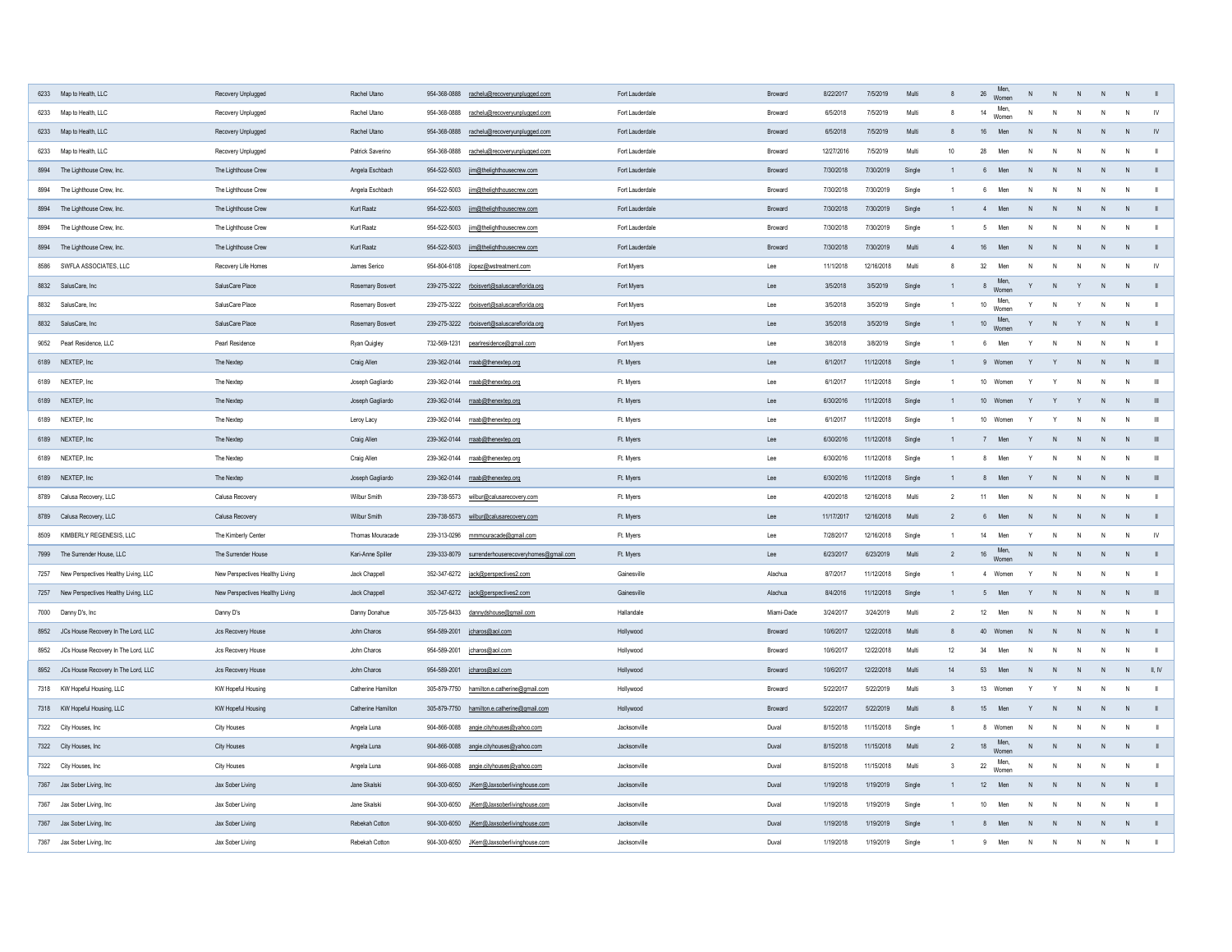| 6233 Map to Health, LLC                     | Recovery Unplugged              | Rachel Utano            | 954-368-0888<br>rachelu@recoveryunplugged.com      | Fort Lauderdale | <b>Broward</b> | 8/22/2017  | 7/5/2019   | Multi  |    | Men,<br>Women<br>26 |              |                | N            |              |               |
|---------------------------------------------|---------------------------------|-------------------------|----------------------------------------------------|-----------------|----------------|------------|------------|--------|----|---------------------|--------------|----------------|--------------|--------------|---------------|
| 6233 Map to Health, LLC                     | Recovery Unplugged              | Rachel Utano            | 954-368-0888<br>rachelu@recoveryunplugged.com      | Fort Lauderdale | <b>Broward</b> | 6/5/2018   | 7/5/2019   | Multi  |    | Men,<br>14<br>Women |              |                | N            | N            |               |
| 6233 Map to Health, LLC                     | Recovery Unplugged              | Rachel Utano            | 954-368-0888<br>rachelu@recoveryunplugged.com      | Fort Lauderdale | <b>Broward</b> | 6/5/2018   | 7/5/2019   | Multi  |    | 16<br>Men           |              |                | N            |              |               |
| 6233 Map to Health, LLC                     | Recovery Unplugged              | Patrick Saverino        | 954-368-0888<br>rachelu@recoveryunplugged.com      | Fort Lauderdale | <b>Broward</b> | 12/27/2016 | 7/5/2019   | Multi  | 10 | 28<br>Men           | N.           |                | N.           | N            |               |
| 8994 The Lighthouse Crew, Inc.              | The Lighthouse Crew             | Angela Eschbach         | 954-522-5003 jim@thelighthousecrew.com             | Fort Lauderdale | <b>Broward</b> | 7/30/2018  | 7/30/2019  | Single |    | Men<br>6            | N.           |                | N            |              |               |
| 8994 The Lighthouse Crew, Inc.              | The Lighthouse Crew             | Angela Eschbach         | 954-522-5003<br>jim@thelighthousecrew.com          | Fort Lauderdale | <b>Broward</b> | 7/30/2018  | 7/30/2019  | Single |    | Men                 | N.           |                | $\mathsf{N}$ | N            |               |
| 8994 The Lighthouse Crew, Inc.              | The Lighthouse Crew             | <b>Kurt Raatz</b>       | 954-522-5003<br>jim@thelighthousecrew.com          | Fort Lauderdale | <b>Broward</b> | 7/30/2018  | 7/30/2019  | Single |    | Men                 | N.           |                | $\mathsf{N}$ | N            |               |
| 8994 The Lighthouse Crew, Inc.              | The Lighthouse Crew             | Kurt Raatz              | 954-522-5003 jim@thelighthousecrew.com             | Fort Lauderdale | <b>Broward</b> | 7/30/2018  | 7/30/2019  | Single |    | Men<br>$5^{\circ}$  | N            | - N            | N            | N            |               |
| 8994 The Lighthouse Crew, Inc.              | The Lighthouse Crew             | <b>Kurt Raatz</b>       | jim@thelighthousecrew.com<br>954-522-5003          | Fort Lauderdale | <b>Broward</b> | 7/30/2018  | 7/30/2019  | Multi  |    | 16<br>Men           | N            |                | N            | N            |               |
| 8586 SWFLA ASSOCIATES, LLC                  | Recovery Life Homes             | James Serico            | 954-804-6108 jlopez@wstreatment.com                | Fort Myers      | Lee            | 11/1/2018  | 12/16/2018 | Multi  |    | Men<br>32           | N.           |                | N            | N            | $\mathsf{IV}$ |
| 8832 SalusCare, Inc                         | SalusCare Place                 | <b>Rosemary Bosvert</b> | 239-275-3222 rboisvert@saluscareflorida.org        | Fort Myers      | Lee            | 3/5/2018   | 3/5/2019   | Single |    | Men,<br>Women       |              | N              | N            |              |               |
| 8832 SalusCare, Inc                         | SalusCare Place                 | <b>Rosemary Bosvert</b> | 239-275-3222 rboisvert@saluscareflorida.org        | Fort Myers      | Lee            | 3/5/2018   | 3/5/2019   | Single |    | Men,<br>10<br>Women |              |                | N            | N            |               |
| 8832 SalusCare, Inc                         | SalusCare Place                 | <b>Rosemary Bosvert</b> | 239-275-3222 rboisvert@saluscareflorida.org        | Fort Myers      | Lee            | 3/5/2018   | 3/5/2019   | Single |    | Men,<br>Women<br>10 |              | N <sub>1</sub> | N            | N            |               |
| 9052 Pearl Residence, LLC                   | Pearl Residence                 | Ryan Quigley            | 732-569-1231<br>pearlresidence@gmail.com           | Fort Myers      | Lee            | 3/8/2018   | 3/8/2019   | Single |    | Men                 | Y            | $\overline{N}$ | N            | N            |               |
| 6189 NEXTEP, Inc                            | The Nextep                      | Craig Allen             | 239-362-0144 rraab@thenextep.org                   | Ft. Myers       | Lee            | 6/1/2017   | 11/12/2018 | Single |    | Women               |              |                | N            |              |               |
| 6189 NEXTEP, Inc                            | The Nextep                      | Joseph Gagliardo        | 239-362-0144 rraab@thenextep.org                   | Ft. Myers       | Lee            | 6/1/2017   | 11/12/2018 | Single |    | 10<br>Women         |              |                | <sup>N</sup> |              |               |
| 6189 NEXTEP, Inc                            | The Nextep                      | Joseph Gagliardo        | 239-362-0144 rraab@thenextep.org                   | Ft. Myers       | Lee            | 6/30/2016  | 11/12/2018 | Single |    | 10<br>Women         |              |                | N            |              |               |
| 6189 NEXTEP, Inc                            | The Nextep                      | Leroy Lacy              | 239-362-0144 rraab@thenextep.org                   | Ft. Myers       | Lee            | 6/1/2017   | 11/12/2018 | Single |    | 10 Women            |              |                | N            | N            | $\mathbb{H}$  |
| 6189 NEXTEP, Inc                            | The Nextep                      | Craig Allen             | 239-362-0144 rraab@thenextep.org                   | Ft. Myers       | Lee            | 6/30/2016  | 11/12/2018 | Single |    | Men                 |              |                | N            |              |               |
| 6189 NEXTEP, Inc                            | The Nextep                      | Craig Allen             | 239-362-0144 rraab@thenextep.org                   | Ft. Myers       | Lee            | 6/30/2016  | 11/12/2018 | Single |    | Men                 |              |                | N            | N            | - III         |
| 6189 NEXTEP, Inc                            | The Nextep                      | Joseph Gagliardo        | 239-362-0144 rraab@thenextep.org                   | Ft. Myers       | Lee            | 6/30/2016  | 11/12/2018 | Single |    | Men<br>୪            |              |                | N            |              |               |
| 8789 Calusa Recovery, LLC                   | Calusa Recovery                 | <b>Wilbur Smith</b>     | 239-738-5573 wilbur@calusarecovery.com             | Ft. Myers       | Lee            | 4/20/2018  | 12/16/2018 | Multi  |    | Men<br>11           | N.           |                | N.           | N.           |               |
| 8789 Calusa Recovery, LLC                   | Calusa Recovery                 | <b>Wilbur Smith</b>     | 239-738-5573 wilbur@calusarecovery.com             | Ft. Myers       | Lee            | 11/17/2017 | 12/16/2018 | Multi  |    | Men<br>6            | N            | N.             | N            | N            |               |
| 8509 KIMBERLY REGENESIS, LLC                | The Kimberly Center             | Thomas Mouracade        | 239-313-0296 mmmouracade@gmail.com                 | Ft. Myers       | Lee            | 7/28/2017  | 12/16/2018 | Single |    | Men<br>14           |              |                | N            | N            | $\mathsf{IV}$ |
| 7999 The Surrender House, LLC               | The Surrender House             | Kari-Anne Spiller       | 239-333-8079 surrenderhouserecoveryhomes@gmail.com | Ft. Myers       | Lee            | 6/23/2017  | 6/23/2019  | Multi  |    | Men,<br>16 Women    | N            | N<br>N         | N            | N            |               |
| 7257 New Perspectives Healthy Living, LLC   | New Perspectives Healthy Living | Jack Chappell           | 352-347-6272 jack@perspectives2.com                | Gainesville     | Alachua        | 8/7/2017   | 11/12/2018 | Single |    | Women               |              |                | N            | N            |               |
| 7257 New Perspectives Healthy Living, LLC   | New Perspectives Healthy Living | Jack Chappell           | 352-347-6272 jack@perspectives2.com                | Gainesville     | Alachua        | 8/4/2016   | 11/12/2018 | Single |    | Men                 | Y            |                | $\mathsf{N}$ | - N          |               |
| 7000 Danny D's, Inc                         | Danny D's                       | Danny Donahue           | 305-725-8433<br>dannydshouse@gmail.com             | Hallandale      | Miami-Dade     | 3/24/2017  | 3/24/2019  | Multi  |    | Men<br>12           | $\mathsf{N}$ |                | N            | $\mathsf{N}$ |               |
| JCs House Recovery In The Lord, LLC<br>8952 | Jcs Recovery House              | John Charos             | 954-589-2001 jcharos@aol.com                       | Hollywood       | <b>Broward</b> | 10/6/2017  | 12/22/2018 | Multi  |    | 40<br>Women         |              |                | $\mathsf{N}$ |              |               |
| 8952 JCs House Recovery In The Lord, LLC    | Jcs Recovery House              | John Charos             | 954-589-2001   jcharos@aol.com                     | Hollywood       | <b>Broward</b> | 10/6/2017  | 12/22/2018 | Multi  | 12 | Men<br>34           | N            |                | $\mathsf{N}$ | N            |               |
| 8952 JCs House Recovery In The Lord, LLC    | Jcs Recovery House              | John Charos             | 954-589-2001   jcharos@aol.com                     | Hollywood       | <b>Broward</b> | 10/6/2017  | 12/22/2018 | Multi  | 14 | 53<br>Men           | $\mathsf{N}$ |                | N            |              | II, IV        |
| 7318 KW Hopeful Housing, LLC                | KW Hopeful Housing              | Catherine Hamilton      | 305-879-7750 hamilton.e.catherine@gmail.com        | Hollywood       | <b>Broward</b> | 5/22/2017  | 5/22/2019  | Multi  |    | 13 Women            |              |                | N            | N            |               |
| 7318 KW Hopeful Housing, LLC                | <b>KW Hopeful Housing</b>       | Catherine Hamilton      | 305-879-7750 hamilton.e.catherine@gmail.com        | Hollywood       | <b>Broward</b> | 5/22/2017  | 5/22/2019  | Multi  |    | 15<br>Men           |              |                | $\mathsf{N}$ |              |               |
| 7322 City Houses, Inc                       | <b>City Houses</b>              | Angela Luna             | 904-866-0088 angie.cityhouses@yahoo.com            | Jacksonville    | Duval          | 8/15/2018  | 11/15/2018 | Single |    | 8 Women             | N            |                | N            |              |               |
| 7322 City Houses, Inc                       | <b>City Houses</b>              | Angela Luna             | 904-866-0088 angie.cityhouses@yahoo.com            | Jacksonville    | Duval          | 8/15/2018  | 11/15/2018 | Multi  |    | 18 Men,<br>Women    | N.           |                | N            |              |               |
| 7322 City Houses, Inc                       | <b>City Houses</b>              | Angela Luna             | 904-866-0088 angie.cityhouses@yahoo.com            | Jacksonville    | Duval          | 8/15/2018  | 11/15/2018 | Multi  |    | Men,<br>22<br>Women |              |                | N            | - N          |               |
| 7367 Jax Sober Living, Inc                  | Jax Sober Living                | Jane Skalski            | 904-300-6050 JKerr@Jaxsoberlivinghouse.com         | Jacksonville    | Duval          | 1/19/2018  | 1/19/2019  | Single |    | 12<br>Men           | $\mathsf{N}$ |                | N            |              |               |
| 7367 Jax Sober Living, Inc                  | Jax Sober Living                | Jane Skalski            | JKerr@Jaxsoberlivinghouse.com<br>904-300-6050      | Jacksonville    | Duval          | 1/19/2018  | 1/19/2019  | Single |    | 10<br>Men           | N.           |                | $\mathsf{N}$ | N            |               |
| 7367 Jax Sober Living, Inc                  | Jax Sober Living                | Rebekah Cotton          | 904-300-6050 JKerr@Jaxsoberlivinghouse.com         | Jacksonville    | Duval          | 1/19/2018  | 1/19/2019  | Single |    | Men                 | N            |                | $\mathsf{N}$ |              |               |
| 7367 Jax Sober Living, Inc                  | Jax Sober Living                | Rebekah Cotton          | 904-300-6050<br>JKerr@Jaxsoberlivinghouse.com      | Jacksonville    | Duval          | 1/19/2018  | 1/19/2019  | Single |    | Men                 | N            | N              | N            | N            |               |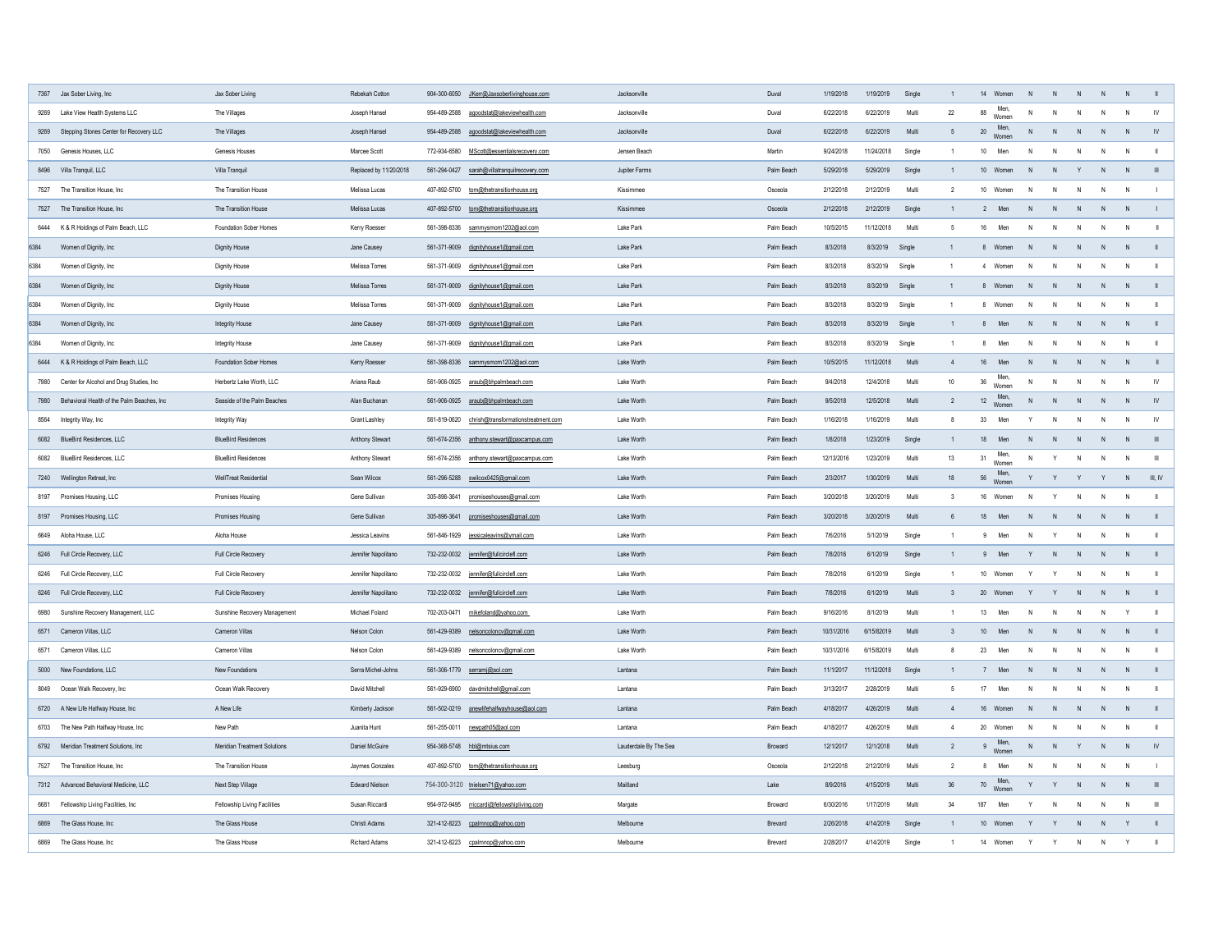|      | 7367 Jax Sober Living, Inc                    | Jax Sober Living                    | Rebekah Cotton         | 904-300-6050<br>JKerr@Jaxsoberlivinghouse.com       | Jacksonville          | Duval          | 1/19/2018  | 1/19/2019  | Single |                 | 14 Women<br>Men,         | -N           |                | -N                  |    |           |
|------|-----------------------------------------------|-------------------------------------|------------------------|-----------------------------------------------------|-----------------------|----------------|------------|------------|--------|-----------------|--------------------------|--------------|----------------|---------------------|----|-----------|
| 9269 | Lake View Health Systems LLC                  | The Villages                        | Joseph Hansel          | 954-489-2588<br>agoodstat@lakeviewhealth.com        | Jacksonville          | Duval          | 6/22/2018  | 6/22/2019  | Multi  | 22              | 88<br>Women<br>Men,      |              | $\mathsf{N}$   | N                   | N  | <b>IV</b> |
| 9269 | Stepping Stones Center for Recovery LLC       | The Villages                        | Joseph Hansel          | 954-489-2588 agoodstat@lakeviewhealth.com           | Jacksonville          | Duval          | 6/22/2018  | 6/22/2019  | Multi  |                 | 20<br>Women              |              | N              | N                   | N  | - IV      |
|      | 7050 Genesis Houses, LLC                      | Genesis Houses                      | Marcee Scott           | 772-934-6580<br>MScott@essentialsrecovery.com       | Jensen Beach          | Martin         | 9/24/2018  | 11/24/2018 | Single |                 | 10<br>Men                | N.           |                |                     | N. |           |
|      | 8496 Villa Tranquil, LLC                      | Villa Tranquil                      | Replaced by 11/20/2018 | 561-294-0427<br>sarah@villatranquilrecovery.com     | Jupiter Farms         | Palm Beach     | 5/29/2018  | 5/29/2019  | Single |                 | 10 Women                 |              |                | $\mathsf{N}$<br>- N |    |           |
|      | 7527 The Transition House, Inc                | The Transition House                | Melissa Lucas          | 407-892-5700 tom@thetransitionhouse.org             | Kissimmee             | Osceola        | 2/12/2018  | 2/12/2019  | Multi  |                 | 10 <sup>1</sup><br>Women | N            | - N            | N                   | N  |           |
|      | 7527 The Transition House, Inc                | The Transition House                | Melissa Lucas          | 407-892-5700 tom@thetransitionhouse.org             | Kissimmee             | Osceola        | 2/12/2018  | 2/12/2019  | Single |                 | Men                      | N.           |                | N<br>- N            |    |           |
|      | 6444 K & R Holdings of Palm Beach, LLC        | <b>Foundation Sober Homes</b>       | Kerry Roesser          | 561-398-8336<br>sammysmom1202@aol.com               | Lake Park             | Palm Beach     | 10/5/2015  | 11/12/2018 | Multi  |                 | 16<br>Men                | N            | - N            | N<br>N              |    |           |
| 6384 | Women of Dignity, Inc                         | <b>Dignity House</b>                | Jane Causey            | 561-371-9009 dignityhouse1@gmail.com                | Lake Park             | Palm Beach     | 8/3/2018   | 8/3/2019   | Single |                 | Women                    |              | -N             | N<br>N              |    |           |
| 6384 | Women of Dignity, Inc                         | <b>Dignity House</b>                | Melissa Torres         | 561-371-9009 dignityhouse1@gmail.com                | Lake Park             | Palm Beach     | 8/3/2018   | 8/3/2019   | Single |                 | Women                    | N.           |                | N.                  | N  |           |
| 6384 | Women of Dignity, Inc                         | <b>Dignity House</b>                | Melissa Torres         | 561-371-9009 dignityhouse1@gmail.com                | Lake Park             | Palm Beach     | 8/3/2018   | 8/3/2019   | Single |                 | 8 Women                  | N            | N.             | N<br>N              |    |           |
| 6384 | Women of Dignity, Inc                         | <b>Dignity House</b>                | Melissa Torres         | 561-371-9009 dignityhouse1@gmail.com                | Lake Park             | Palm Beach     | 8/3/2018   | 8/3/2019   | Single |                 | Women                    | N            | - N            | N                   | N  |           |
| 6384 | Women of Dignity, Inc                         | <b>Integrity House</b>              | Jane Causey            | 561-371-9009 dignityhouse1@gmail.com                | Lake Park             | Palm Beach     | 8/3/2018   | 8/3/2019   | Single |                 | Men<br>ŏ                 | $\mathsf{N}$ | N              | N                   | N  |           |
| 6384 | Women of Dignity, Inc                         | <b>Integrity House</b>              | Jane Causey            | 561-371-9009 dignityhouse1@gmail.com                | Lake Park             | Palm Beach     | 8/3/2018   | 8/3/2019   | Single |                 | Men                      | N            | N              | N                   | N  |           |
|      | 6444 K & R Holdings of Palm Beach, LLC        | <b>Foundation Sober Homes</b>       | Kerry Roesser          | 561-398-8336 sammysmom1202@aol.com                  | Lake Worth            | Palm Beach     | 10/5/2015  | 11/12/2018 | Multi  |                 | 16<br>Men                | <sup>N</sup> |                | - N<br>- N          |    |           |
|      | 7980 Center for Alcohol and Drug Studies, Inc | Herbertz Lake Worth, LLC            | Ariana Raub            | 561-906-0925 araub@bhpalmbeach.com                  | Lake Worth            | Palm Beach     | 9/4/2018   | 12/4/2018  | Multi  | 10 <sup>°</sup> | Men,<br>36<br>Women      |              |                | N<br>$\overline{N}$ |    |           |
| 7980 | Behavioral Health of the Palm Beaches, Inc    | Seaside of the Palm Beaches         | Alan Buchanan          | 561-906-0925 araub@bhpalmbeach.com                  | Lake Worth            | Palm Beach     | 9/5/2018   | 12/5/2018  | Multi  |                 | Men,<br>12<br>Women      |              | N              | N                   |    |           |
|      | 8564 Integrity Way, Inc                       | Integrity Way                       | <b>Grant Lashley</b>   | chrish@transformationstreatment.com<br>561-819-0620 | Lake Worth            | Palm Beach     | 1/16/2018  | 1/16/2019  | Multi  |                 | 33<br>Men                |              | N <sub>N</sub> | N                   | N  |           |
|      | 6082 BlueBird Residences, LLC                 | <b>BlueBird Residences</b>          | <b>Anthony Stewart</b> | 561-674-2356<br>anthony.stewart@paxcampus.com       | Lake Worth            | Palm Beach     | 1/8/2018   | 1/23/2019  | Single |                 | 18<br>Men                |              |                |                     |    |           |
| 6082 | <b>BlueBird Residences, LLC</b>               | <b>BlueBird Residences</b>          | <b>Anthony Stewart</b> | 561-674-2356<br>anthony.stewart@paxcampus.com       | Lake Worth            | Palm Beach     | 12/13/2016 | 1/23/2019  | Multi  | 13              | Men,<br>31<br>Women      |              |                | N                   | N  | - III     |
|      | 7240 Wellington Retreat, Inc                  | <b>WellTreat Residential</b>        | Sean Wilcox            | 561-296-5288 swilcox0425@gmail.com                  | Lake Worth            | Palm Beach     | 2/3/2017   | 1/30/2019  | Multi  | 18              | Men,<br>56<br>Women      |              |                | $\mathsf{Y}$        |    | III, IV   |
|      | 8197 Promises Housing, LLC                    | <b>Promises Housing</b>             | Gene Sullivan          | 305-896-3641<br>promiseshouses@gmail.com            | Lake Worth            | Palm Beach     | 3/20/2018  | 3/20/2019  | Multi  |                 | 16<br>Women              |              |                |                     | N  |           |
|      | 8197 Promises Housing, LLC                    | <b>Promises Housing</b>             | Gene Sullivan          | 305-896-3641<br>promiseshouses@gmail.com            | Lake Worth            | Palm Beach     | 3/20/2018  | 3/20/2019  | Multi  |                 | 18<br>Men                |              |                | $\mathsf{N}$        |    |           |
|      | 6649 Aloha House, LLC                         | Aloha House                         | Jessica Leavins        | 561-846-1929 jessicaleavins@ymail.com               | Lake Worth            | Palm Beach     | 7/6/2016   | 5/1/2019   | Single |                 | Men                      | N            |                | N                   | N  |           |
|      | 6246 Full Circle Recovery, LLC                | Full Circle Recovery                | Jennifer Napolitano    | 732-232-0032 jennifer@fullcirclefl.com              | Lake Worth            | Palm Beach     | 7/8/2016   | 6/1/2019   | Single |                 | Men                      |              |                | <sup>N</sup>        |    |           |
|      | 6246 Full Circle Recovery, LLC                | Full Circle Recovery                | Jennifer Napolitano    | 732-232-0032 jennifer@fullcirclefl.com              | Lake Worth            | Palm Beach     | 7/8/2016   | 6/1/2019   | Single |                 | 10 Women                 |              |                | $\mathsf{N}$<br>N   |    |           |
|      | 6246 Full Circle Recovery, LLC                | Full Circle Recovery                | Jennifer Napolitano    | 732-232-0032 jennifer@fullcirclefl.com              | Lake Worth            | Palm Beach     | 7/8/2016   | 6/1/2019   | Multi  |                 | 20 Women                 |              |                | $\mathsf{N}$<br>- N |    |           |
|      |                                               |                                     | Michael Foland         | 702-203-0471                                        | Lake Worth            | Palm Beach     | 9/16/2016  | 8/1/2019   | Multi  |                 | 13<br>Men                | N            | N              | N                   |    |           |
| 6980 | Sunshine Recovery Management, LLC             | <b>Sunshine Recovery Management</b> |                        | mikefoland@yahoo.com                                |                       |                |            |            |        |                 |                          |              |                |                     |    |           |
|      | 6571 Cameron Villas, LLC                      | <b>Cameron Villas</b>               | Nelson Colon           | 561-429-9389 nelsoncoloncv@gmail.com                | Lake Worth            | Palm Beach     | 10/31/2016 | 6/15/82019 | Multi  |                 | 10 <sup>°</sup><br>Men   |              |                |                     |    |           |
|      | 6571 Cameron Villas, LLC                      | <b>Cameron Villas</b>               | Nelson Colon           | 561-429-9389 nelsoncoloncv@gmail.com                | Lake Worth            | Palm Beach     | 10/31/2016 | 6/15/82019 | Multi  |                 | 23<br>Men                | $\mathsf{N}$ |                | N                   | N  |           |
|      | 5000 New Foundations, LLC                     | <b>New Foundations</b>              | Serra Michel-Johns     | 561-306-1779 serramj@aol.com                        | Lantana               | Palm Beach     | 11/1/2017  | 11/12/2018 | Single |                 | Men                      | N            | N <sub>1</sub> | N                   |    |           |
|      | 8049 Ocean Walk Recovery, Inc                 | Ocean Walk Recovery                 | David Mitchell         | 561-929-6900 davdmitchell@gmail.com                 | Lantana               | Palm Beach     | 3/13/2017  | 2/28/2019  | Multi  |                 | 17<br>Men                |              |                | <sup>N</sup>        | N  |           |
|      | 6720 A New Life Halfway House, Inc            | A New Life                          | Kimberly Jackson       | 561-502-0219 anewlifehalfwayhouse@aol.com           | Lantana               | Palm Beach     | 4/18/2017  | 4/26/2019  | Multi  |                 | 16 Women                 | N            |                | - N                 |    |           |
|      | 6703 The New Path Halfway House, Inc          | New Path                            | Juanita Hunt           |                                                     | Lantana               | Palm Beach     | 4/18/2017  | 4/26/2019  | Multi  |                 | 20 Women                 | N.           | - N            | N.                  | N  |           |
|      | 6792 Meridian Treatment Solutions, Inc        | <b>Meridian Treatment Solutions</b> | Daniel McGuire         | 954-368-5748 hbl@mtsius.com                         | Lauderdale By The Sea | <b>Broward</b> | 12/1/2017  | 12/1/2018  | Multi  |                 | Men,<br>Women            | N            | N              | N                   | N  |           |
|      | 7527 The Transition House, Inc                | The Transition House                | Jaymes Gonzales        | 407-892-5700 tom@thetransitionhouse.org             | Leesburg              | Osceola        | 2/12/2018  | 2/12/2019  | Multi  |                 | Men                      | N            |                | $\mathsf{N}$        | N  |           |
|      | 7312 Advanced Behavioral Medicine, LLC        | Next Step Village                   | <b>Edward Nielson</b>  | 754-300-3120 tnielsen71@yahoo.com                   | Maitland              | Lake           | 8/9/2016   | 4/15/2019  | Multi  | 36              | 70 Men,<br>Women         |              |                | N                   |    |           |
| 6681 | Fellowship Living Facilities, Inc             | <b>Fellowship Living Facilities</b> | Susan Riccardi         | 954-972-9495 rriccardi@fellowshipliving.com         | Margate               | <b>Broward</b> | 6/30/2016  | 1/17/2019  | Multi  | 34              | 187<br>Men               |              |                | N.                  | N  |           |
|      | 6869 The Glass House, Inc                     | The Glass House                     | Christi Adams          | 321-412-8223 cpalmnop@yahoo.com                     | Melbourne             | <b>Brevard</b> | 2/26/2018  | 4/14/2019  | Single |                 | 10 Women                 |              |                | N                   |    |           |
|      | 6869 The Glass House, Inc                     | The Glass House                     | <b>Richard Adams</b>   | 321-412-8223 cpalmnop@yahoo.com                     | Melbourne             | <b>Brevard</b> | 2/28/2017  | 4/14/2019  | Single |                 | 14 Women                 | Y            |                | - N                 |    |           |
|      |                                               |                                     |                        |                                                     |                       |                |            |            |        |                 |                          |              |                |                     |    |           |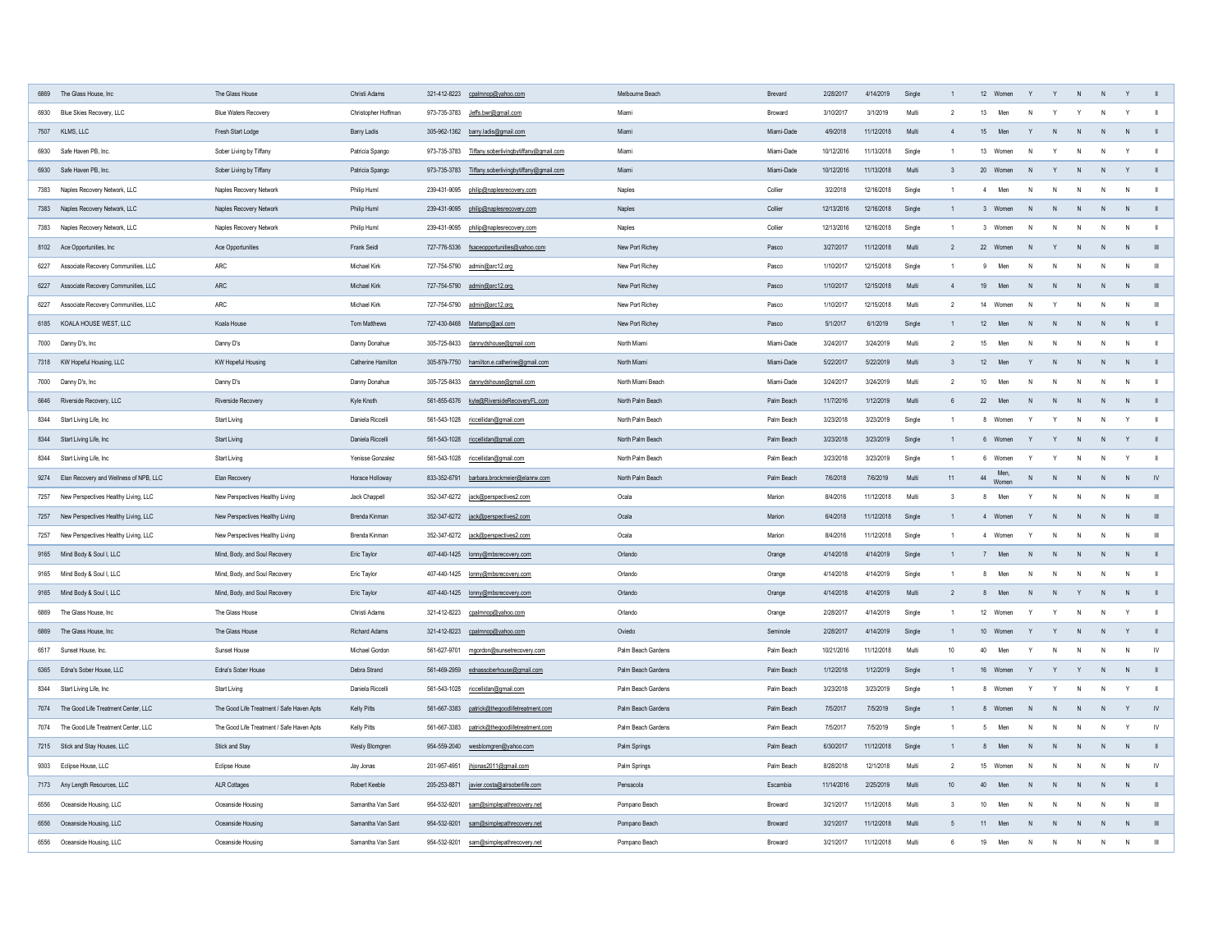|      | 6869 The Glass House, Inc                   | The Glass House                           | Christi Adams             |              | 321-412-8223 cpalmnop@yahoo.com             | Melbourne Beach    | <b>Brevard</b> | 2/28/2017  | 4/14/2019  | Single |                 | 12<br>Women         |              |              | $\mathsf{N}$ |                |                |
|------|---------------------------------------------|-------------------------------------------|---------------------------|--------------|---------------------------------------------|--------------------|----------------|------------|------------|--------|-----------------|---------------------|--------------|--------------|--------------|----------------|----------------|
| 6930 | Blue Skies Recovery, LLC                    | <b>Blue Waters Recovery</b>               | Christopher Hoffman       |              |                                             | Miami              | <b>Broward</b> | 3/10/2017  | 3/1/2019   | Multi  |                 | 13<br>Men           | N.           |              | N            |                |                |
|      | 7507 KLMS, LLC                              | Fresh Start Lodge                         | Barry Ladis               |              | 305-962-1362 barry.ladis@gmail.com          | Miami              | Miami-Dade     | 4/9/2018   | 11/12/2018 | Multi  |                 | 15<br>Men           |              |              | N            |                |                |
| 6930 | Safe Haven PB, Inc.                         | Sober Living by Tiffany                   | Patricia Spango           | 973-735-3783 | Tiffany.soberlivingbytiffany@gmail.com      | Miami              | Miami-Dade     | 10/12/2016 | 11/13/2018 | Single |                 | 13<br>Women         | N.           |              | N.           |                |                |
|      | 6930 Safe Haven PB, Inc.                    | Sober Living by Tiffany                   | Patricia Spango           | 973-735-3783 | Tiffany.soberlivingbytiffany@gmail.com      | Miami              | Miami-Dade     | 10/12/2016 | 1/13/2018  | Multi  |                 | 20<br>Women         |              |              | N            |                |                |
|      | 7383 Naples Recovery Network, LLC           | <b>Naples Recovery Network</b>            | Philip Huml               |              | 239-431-9095 philip@naplesrecovery.com      | Naples             | Collier        | 3/2/2018   | 12/16/2018 | Single |                 | Men                 | N            |              | N            | N              |                |
|      | 7383 Naples Recovery Network, LLC           | <b>Naples Recovery Network</b>            | <b>Philip Huml</b>        |              | 239-431-9095 philip@naplesrecovery.com      | Naples             | Collier        | 12/13/2016 | 12/16/2018 | Single |                 | Women               | N.           |              | N.           |                |                |
|      | 7383 Naples Recovery Network, LLC           | <b>Naples Recovery Network</b>            | <b>Philip Huml</b>        | 239-431-9095 | philip@naplesrecovery.com                   | Naples             | Collier        | 12/13/2016 | 12/16/2018 | Single |                 | Women               | N.           |              | $\mathsf{N}$ | N              |                |
|      | 8102 Ace Opportunities, Inc                 | Ace Opportunities                         | <b>Frank Seidl</b>        |              | 727-776-5336 fsaceopportunities@yahoo.com   | New Port Richey    | Pasco          | 3/27/2017  | 11/12/2018 | Multi  |                 | 22 Women            | N.           |              | N            |                |                |
|      | 6227 Associate Recovery Communities, LLC    | ARC                                       | Michael Kirk              |              | 727-754-5790    admin@arc12.org             | New Port Richey    | Pasco          | 1/10/2017  | 12/15/2018 | Single |                 | Men<br>9            | N            |              | N            | $\overline{N}$ | - 111          |
|      | 6227 Associate Recovery Communities, LLC    | ARC                                       | Michael Kirk              |              | 727-754-5790 admin@arc12.org                | New Port Richey    | Pasco          | 1/10/2017  | 12/15/2018 | Multi  |                 | Men<br>19           | N            |              | N            | - N            |                |
|      | 6227 Associate Recovery Communities, LLC    | ARC                                       | Michael Kirk              |              | 727-754-5790 admin@arc12.org                | New Port Richey    | Pasco          | 1/10/2017  | 12/15/2018 | Multi  |                 | 14<br>Women         | N            |              | N            | N              | $\mathbf{III}$ |
|      | 6185 KOALA HOUSE WEST, LLC                  | Koala House                               | Tom Matthews              |              | 727-430-8468 Mattamp@aol.com                | New Port Richey    | Pasco          | 5/1/2017   | 6/1/2019   | Single |                 | 12<br>Men           | N            | <sup>N</sup> | N            | N              |                |
|      | 7000 Danny D's, Inc                         | Danny D's                                 | Danny Donahue             | 305-725-8433 | dannydshouse@gmail.com                      | North Miami        | Miami-Dade     | 3/24/2017  | 3/24/2019  | Multi  |                 | 15<br>Men           | N.           |              | $\mathsf{N}$ | N              |                |
|      | 7318 KW Hopeful Housing, LLC                | <b>KW Hopeful Housing</b>                 | <b>Catherine Hamilton</b> |              | 305-879-7750 hamilton.e.catherine@gmail.com | North Miami        | Miami-Dade     | 5/22/2017  | 5/22/2019  | Multi  |                 | 12<br>Men           |              |              | N.           |                |                |
|      | 7000 Danny D's, Inc                         | Danny D's                                 | Danny Donahue             | 305-725-8433 | dannydshouse@gmail.com                      | North Miami Beach  | Miami-Dade     | 3/24/2017  | 3/24/2019  | Multi  |                 | 10<br>Men           | N            |              | N            | N              |                |
|      | 6646 Riverside Recovery, LLC                | Riverside Recovery                        | Kyle Knoth                |              | 561-855-6376 kyle@RiversideRecoveryFL.com   | North Palm Beach   | Palm Beach     | 11/7/2016  | 1/12/2019  | Multi  |                 | 22<br>Men           |              |              | $\mathsf{N}$ |                |                |
|      | 8344 Start Living Life, Inc                 | <b>Start Living</b>                       | Daniela Riccelli          |              | 561-543-1028 riccellidan@gmail.com          | North Palm Beach   | Palm Beach     | 3/23/2018  | 3/23/2019  | Single |                 | Women<br>8          |              |              | N            | - Y            |                |
|      | 8344 Start Living Life, Inc                 | <b>Start Living</b>                       | Daniela Riccelli          |              | 561-543-1028 riccellidan@gmail.com          | North Palm Beach   | Palm Beach     | 3/23/2018  | 3/23/2019  | Single |                 | Women               |              |              | N            |                |                |
|      | 8344 Start Living Life, Inc                 | <b>Start Living</b>                       | Yenisse Gonzalez          |              | 561-543-1028 riccellidan@gmail.com          | North Palm Beach   | Palm Beach     | 3/23/2018  | 3/23/2019  | Single |                 | Women               |              |              | N.           |                |                |
|      | 9274 Elan Recovery and Wellness of NPB, LLC | Elan Recovery                             | Horace Holloway           |              | 833-352-6791 barbara.brockmeier@elanrw.com  | North Palm Beach   | Palm Beach     | 7/6/2018   | 7/6/2019   | Multi  |                 | Men,<br>Women<br>44 | N            |              | N            |                |                |
| 7257 | New Perspectives Healthy Living, LLC        | New Perspectives Healthy Living           | Jack Chappell             |              | 352-347-6272 jack@perspectives2.com         | Ocala              | Marion         | 8/4/2016   | 11/12/2018 | Multi  |                 | Men                 |              |              | <sup>N</sup> |                |                |
|      | 7257 New Perspectives Healthy Living, LLC   | New Perspectives Healthy Living           | Brenda Kinman             |              | 352-347-6272 jack@perspectives2.com         | Ocala              | Marion         | 6/4/2018   | 11/12/2018 | Single |                 | Women               |              |              | $\mathsf{N}$ |                |                |
| 7257 | New Perspectives Healthy Living, LLC        | New Perspectives Healthy Living           | Brenda Kinman             |              | 352-347-6272 jack@perspectives2.com         | Ocala              | Marion         | 8/4/2016   | 11/12/2018 | Single |                 | Women               |              | - N          | N            | N              | - III          |
|      | 9165 Mind Body & Soul I, LLC                | Mind, Body, and Soul Recovery             | Eric Taylor               |              | 407-440-1425 lonny@mbsrecovery.com          | Orlando            | Orange         | 4/14/2018  | 4/14/2019  | Single |                 | Men                 | N            |              | $\mathsf{N}$ | N              |                |
|      | 9165 Mind Body & Soul I, LLC                | Mind, Body, and Soul Recovery             | Eric Taylor               |              | 407-440-1425 lonny@mbsrecovery.com          | Orlando            | Orange         | 4/14/2018  | 4/14/2019  | Single |                 | Men<br>8            | N            |              | N            | N              |                |
|      | 9165 Mind Body & Soul I, LLC                | Mind, Body, and Soul Recovery             | Eric Taylor               |              | 407-440-1425 lonny@mbsrecovery.com          | Orlando            | Orange         | 4/14/2018  | 4/14/2019  | Multi  |                 | Men<br>8            | N            | <sup>N</sup> | N            | N              |                |
|      | 6869 The Glass House, Inc                   | The Glass House                           | Christi Adams             | 321-412-8223 | cpalmnop@yahoo.com                          | Orlando            | Orange         | 2/28/2017  | 4/14/2019  | Single |                 | 12 Women            |              |              | <sup>N</sup> |                |                |
| 6869 | The Glass House, Inc                        | The Glass House                           | <b>Richard Adams</b>      |              | 321-412-8223 cpalmnop@yahoo.com             | Oviedo             | Seminole       | 2/28/2017  | 4/14/2019  | Single |                 | 10<br>Women         |              |              | $\mathsf{N}$ |                |                |
|      | 6517 Sunset House, Inc.                     | Sunset House                              | Michael Gordon            | 561-627-9701 | mgordon@sunsetrecovery.com                  | Palm Beach Gardens | Palm Beach     | 10/21/2016 | 1/12/2018  | Multi  | 10 <sup>°</sup> | 40<br>Men           |              |              | $\mathsf{N}$ | $\mathsf{N}$   |                |
|      | 6365 Edna's Sober House, LLC                | Edna's Sober House                        | Debra Strand              |              | 561-469-2959 ednassoberhouse@gmail.com      | Palm Beach Gardens | Palm Beach     | 1/12/2018  | 1/12/2019  | Single |                 | 16 Women            |              |              | N            | - N            |                |
|      | 8344 Start Living Life, Inc                 | <b>Start Living</b>                       | Daniela Riccelli          |              | 561-543-1028 riccellidan@gmail.com          | Palm Beach Gardens | Palm Beach     | 3/23/2018  | 3/23/2019  | Single |                 | Women<br>8          |              |              |              |                |                |
|      | 7074 The Good Life Treatment Center, LLC    | The Good Life Treatment / Safe Haven Apts | <b>Kelly Pitts</b>        | 561-667-3383 | patrick@thegoodlifetreatment.com            | Palm Beach Gardens | Palm Beach     | 7/5/2017   | 7/5/2019   | Single |                 | Women<br>8          |              |              | $\mathsf{N}$ |                |                |
|      | 7074 The Good Life Treatment Center, LLC    | The Good Life Treatment / Safe Haven Apts | Kelly Pitts               | 561-667-3383 | patrick@thegoodlifetreatment.com            | Palm Beach Gardens | Palm Beach     | 7/5/2017   | 7/5/2019   | Single |                 | Men                 | N            |              | $\mathsf{N}$ | Y              | IV             |
|      | 7215 Stick and Stay Houses, LLC             | Stick and Stay                            | Wesly Blomgren            |              | 954-559-2040 wesblomgren@yahoo.com          | Palm Springs       | Palm Beach     | 6/30/2017  | 11/12/2018 | Single |                 | Men<br>8            | N            |              | N            |                |                |
|      | 9303 Eclipse House, LLC                     | Eclipse House                             | Jay Jonas                 |              |                                             | Palm Springs       | Palm Beach     | 8/28/2018  | 12/1/2018  | Multi  |                 | 15 Women            | N            |              | N            | N              | <b>IV</b>      |
|      | 7173 Any Length Resources, LLC              | <b>ALR Cottages</b>                       | Robert Keeble             |              | 205-253-8871 javier.costa@alrsoberlife.com  | Pensacola          | Escambia       | 11/14/2016 | 2/25/2019  | Multi  | 10 <sup>°</sup> | 40<br>Men           | $\mathsf{N}$ |              | N            |                |                |
|      | 6556 Oceanside Housing, LLC                 | Oceanside Housing                         | Samantha Van Sant         |              | 954-532-9201 sam@simplepathrecovery.net     | Pompano Beach      | <b>Broward</b> | 3/21/2017  | 11/12/2018 | Multi  |                 | 10<br>Men           | N            |              | N            | $\overline{N}$ | III            |
|      | 6556 Oceanside Housing, LLC                 | Oceanside Housing                         | Samantha Van Sant         | 954-532-9201 | sam@simplepathrecovery.net                  | Pompano Beach      | <b>Broward</b> | 3/21/2017  | 11/12/2018 | Multi  |                 | Men<br>11           | N            |              | N            | - N            |                |
|      | 6556 Oceanside Housing, LLC                 | Oceanside Housing                         | Samantha Van Sant         | 954-532-9201 | sam@simplepathrecovery.net                  | Pompano Beach      | <b>Broward</b> | 3/21/2017  | 11/12/2018 | Multi  |                 | Men<br>19           | N            |              | N            | N              | - III          |
|      |                                             |                                           |                           |              |                                             |                    |                |            |            |        |                 |                     |              |              |              |                |                |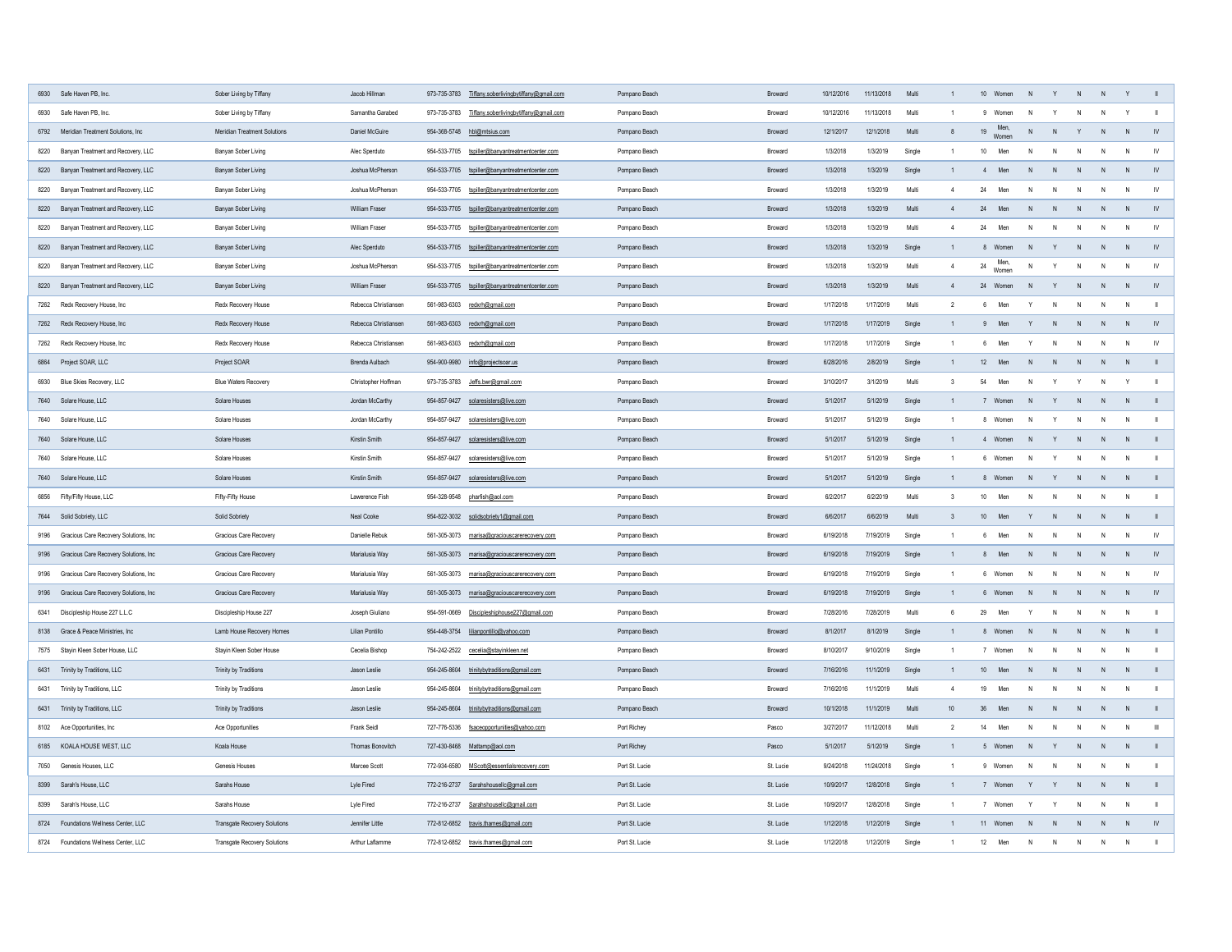| 6930 Safe Haven PB, Inc.                   | Sober Living by Tiffany             | Jacob Hillman         | Tiffany.soberlivingbytiffany@gmail.com<br>973-735-3783 | Pompano Beach  | <b>Broward</b> | 10/12/2016 | 11/13/2018 | Multi  |                 | 10<br>Women               |              | <sup>N</sup> |              |               |
|--------------------------------------------|-------------------------------------|-----------------------|--------------------------------------------------------|----------------|----------------|------------|------------|--------|-----------------|---------------------------|--------------|--------------|--------------|---------------|
| 6930 Safe Haven PB, Inc.                   | Sober Living by Tiffany             | Samantha Garabed      | 973-735-3783<br>Tiffany.soberlivingbytiffany@gmail.com | Pompano Beach  | <b>Broward</b> | 10/12/201  | 1/13/2018  | Multi  |                 | Women<br>N.               |              | <sup>N</sup> |              |               |
| 6792 Meridian Treatment Solutions, Inc     | <b>Meridian Treatment Solutions</b> | Daniel McGuire        | 954-368-5748 hbl@mtsius.com                            | Pompano Beach  | <b>Broward</b> | 12/1/2017  | 12/1/2018  | Multi  |                 | Men,<br>19<br>N<br>Women  |              | N            |              |               |
| 8220 Banyan Treatment and Recovery, LLC    | Banyan Sober Living                 | Alec Sperduto         | tspiller@banyantreatmentcenter.com<br>954-533-7705     | Pompano Beach  | <b>Broward</b> | 1/3/2018   | 1/3/2019   | Single |                 | 10<br>Men                 |              | -N           | - N          | <b>IV</b>     |
| Banyan Treatment and Recovery, LLC<br>8220 | Banyan Sober Living                 | Joshua McPherson      | 954-533-7705<br>tspiller@banyantreatmentcenter.com     | Pompano Beach  | <b>Broward</b> | 1/3/2018   | 1/3/2019   | Single |                 | Men<br>N                  |              | $\mathsf{N}$ | - N          |               |
| 8220 Banyan Treatment and Recovery, LLC    | Banyan Sober Living                 | Joshua McPherson      | 954-533-7705<br>tspiller@banyantreatmentcenter.com     | Pompano Beach  | <b>Broward</b> | 1/3/2018   | 1/3/2019   | Multi  |                 | 24<br>Men<br>N.           |              | N            | N            | -IV           |
| 8220 Banyan Treatment and Recovery, LLC    | Banyan Sober Living                 | <b>William Fraser</b> | 954-533-7705<br>tspiller@banyantreatmentcenter.com     | Pompano Beach  | <b>Broward</b> | 1/3/2018   | 1/3/2019   | Multi  |                 | 24<br>Men<br>N.           |              | -N           | - N          |               |
| Banyan Treatment and Recovery, LLC<br>8220 | Banyan Sober Living                 | William Fraser        | 954-533-7705<br>tspiller@banyantreatmentcenter.com     | Pompano Beach  | <b>Broward</b> | 1/3/2018   | 1/3/2019   | Multi  |                 | Men<br>24<br>N.           |              | N            | N            | <b>IV</b>     |
| 8220 Banyan Treatment and Recovery, LLC    | Banyan Sober Living                 | Alec Sperduto         | 954-533-7705<br>tspiller@banyantreatmentcenter.com     | Pompano Beach  | <b>Broward</b> | 1/3/2018   | 1/3/2019   | Single |                 | Women                     |              | -N           |              |               |
| 8220 Banyan Treatment and Recovery, LLC    | Banyan Sober Living                 | Joshua McPherson      | 954-533-7705<br>tspiller@banyantreatmentcenter.com     | Pompano Beach  | <b>Broward</b> | 1/3/2018   | 1/3/2019   | Multi  |                 | Men,<br>24<br>N<br>Women  |              | $\mathsf{N}$ | $\mathsf{N}$ | <b>IV</b>     |
| 8220 Banyan Treatment and Recovery, LLC    | Banyan Sober Living                 | <b>William Fraser</b> | 954-533-7705<br>tspiller@banyantreatmentcenter.com     | Pompano Beach  | <b>Broward</b> | 1/3/2018   | 1/3/2019   | Multi  |                 | 24<br>Women               |              | $\mathsf{N}$ |              |               |
| 7262 Redx Recovery House, Inc              | Redx Recovery House                 | Rebecca Christiansen  | 561-983-6303<br>redxrh@gmail.com                       | Pompano Beach  | <b>Broward</b> | 1/17/2018  | 1/17/2019  | Multi  |                 | Men                       |              | <sup>N</sup> | - N          |               |
| 7262 Redx Recovery House, Inc              | Redx Recovery House                 | Rebecca Christiansen  | 561-983-6303 redxrh@gmail.com                          | Pompano Beach  | <b>Broward</b> | 1/17/2018  | 1/17/2019  | Single |                 | Men                       |              | N            |              |               |
| 7262 Redx Recovery House, Inc              | <b>Redx Recovery House</b>          | Rebecca Christiansen  | 561-983-6303 redxrh@gmail.com                          | Pompano Beach  | <b>Broward</b> | 1/17/2018  | 1/17/2019  | Single |                 | Men<br>Y                  |              | N            | N            |               |
| 6864 Project SOAR, LLC                     | Project SOAR                        | Brenda Aulbach        | 954-900-9980 info@projectsoar.us                       | Pompano Beach  | <b>Broward</b> | 6/28/2016  | 2/8/2019   | Single |                 | 12<br>Men<br>N            | <sup>N</sup> | N            | - N          |               |
| 6930 Blue Skies Recovery, LLC              | <b>Blue Waters Recovery</b>         | Christopher Hoffman   |                                                        | Pompano Beach  | <b>Broward</b> | 3/10/2017  | 3/1/2019   | Multi  |                 | 54<br>Men<br><sup>N</sup> |              | <sup>N</sup> |              |               |
| 7640 Solare House, LLC                     | Solare Houses                       | Jordan McCarthy       | 954-857-9427 solaresisters@live.com                    | Pompano Beach  | <b>Broward</b> | 5/1/2017   | 5/1/2019   | Single |                 | Women                     |              | N            | N            |               |
| 7640 Solare House, LLC                     | Solare Houses                       | Jordan McCarthy       | 954-857-9427 solaresisters@live.com                    | Pompano Beach  | <b>Broward</b> | 5/1/2017   | 5/1/2019   | Single |                 | Women<br>N<br>8           |              | N            | N            |               |
| 7640 Solare House, LLC                     | Solare Houses                       | Kirstin Smith         | 954-857-9427 solaresisters@live.com                    | Pompano Beach  | <b>Broward</b> | 5/1/2017   | 5/1/2019   | Single |                 | Women<br>-N               |              | $\mathsf{N}$ | N            |               |
| 7640 Solare House, LLC                     | Solare Houses                       | Kirstin Smith         | 954-857-9427<br>solaresisters@live.com                 | Pompano Beach  | <b>Broward</b> | 5/1/2017   | 5/1/2019   | Single |                 | Women<br>N.<br>6.         |              | $\mathsf{N}$ | N            |               |
| 7640 Solare House, LLC                     | Solare Houses                       | Kirstin Smith         | 954-857-9427 solaresisters@live.com                    | Pompano Beach  | <b>Broward</b> | 5/1/2017   | 5/1/2019   | Single |                 | Women<br>N<br>8           |              | N            | N            |               |
| 6856 Fifty/Fifty House, LLC                | Fifty-Fifty House                   | Lawerence Fish        | 954-328-9548 pharfish@aol.com                          | Pompano Beach  | <b>Broward</b> | 6/2/2017   | 6/2/2019   | Multi  |                 | 10<br>Men<br>N.           |              | N            |              |               |
| 7644 Solid Sobriety, LLC                   | <b>Solid Sobriety</b>               | Neal Cooke            | 954-822-3032 solidsobriety1@gmail.com                  | Pompano Beach  | <b>Broward</b> | 6/6/2017   | 6/6/2019   | Multi  |                 | 10<br>Men                 |              | $\mathsf{N}$ | – N          |               |
| 9196 Gracious Care Recovery Solutions, Inc | <b>Gracious Care Recovery</b>       | Danielle Rebuk        | 561-305-3073<br>marisa@graciouscarerecovery.com        | Pompano Beach  | <b>Broward</b> | 6/19/2018  | 7/19/2019  | Single |                 | Men<br>N                  |              | N            | N            |               |
| 9196 Gracious Care Recovery Solutions, Inc | <b>Gracious Care Recovery</b>       | Marialusia Way        | 561-305-3073 marisa@graciouscarerecovery.com           | Pompano Beach  | Broward        | 6/19/2018  | 7/19/2019  | Single |                 | Men<br><sup>N</sup><br>୪  |              | $\mathsf{N}$ | - N          |               |
| 9196 Gracious Care Recovery Solutions, Inc | <b>Gracious Care Recovery</b>       | Marialusia Way        | 561-305-3073<br>marisa@graciouscarerecovery.com        | Pompano Beach  | <b>Broward</b> | 6/19/2018  | 7/19/2019  | Single |                 | Women<br>N<br>6           | N            | N            | N            | <b>IV</b>     |
| 9196 Gracious Care Recovery Solutions, Inc | <b>Gracious Care Recovery</b>       | Marialusia Way        | marisa@graciouscarerecovery.com<br>561-305-3073        | Pompano Beach  | <b>Broward</b> | 6/19/2018  | 7/19/2019  | Single |                 | Women<br>N                |              | N            | N            |               |
| 6341 Discipleship House 227 L.L.C          | Discipleship House 227              | Joseph Giuliano       | 954-591-0669 Discipleshiphouse227@gmail.com            | Pompano Beach  | <b>Broward</b> | 7/28/2016  | 7/28/2019  | Multi  |                 | 29<br>Men<br>Y            |              | N            | N            |               |
| 8138 Grace & Peace Ministries, Inc         | Lamb House Recovery Homes           | Lilian Pontillo       | 954-448-3754 lilianpontillo@yahoo.com                  | Pompano Beach  | <b>Broward</b> | 8/1/2017   | 8/1/2019   | Single |                 | Women                     |              | N            |              |               |
| 7575 Stayin Kleen Sober House, LLC         | Stayin Kleen Sober House            | Cecelia Bishop        | 754-242-2522 cecelia@stayinkleen.net                   | Pompano Beach  | <b>Broward</b> | 8/10/2017  | 9/10/2019  | Single |                 | Women<br>N                |              | N            | N            |               |
| 6431 Trinity by Traditions, LLC            | <b>Trinity by Traditions</b>        | Jason Leslie          | 954-245-8604 trinitybytraditions@gmail.com             | Pompano Beach  | <b>Broward</b> | 7/16/2016  | 11/1/2019  | Single |                 | 10<br>Men<br>N            |              | N            |              |               |
| 6431 Trinity by Traditions, LLC            | <b>Trinity by Traditions</b>        | Jason Leslie          | 954-245-8604<br>trinitybytraditions@gmail.com          | Pompano Beach  | <b>Broward</b> | 7/16/2016  | 11/1/2019  | Multi  |                 | 19<br>Men<br>N.           |              | $\mathsf{N}$ |              |               |
| 6431 Trinity by Traditions, LLC            | Trinity by Traditions               | Jason Leslie          | 954-245-8604 trinitybytraditions@gmail.com             | Pompano Beach  | <b>Broward</b> | 10/1/2018  | 11/1/2019  | Multi  | 10 <sup>°</sup> | 36<br>Men<br>N            |              | N            |              |               |
| 8102 Ace Opportunities, Inc                | Ace Opportunities                   | <b>Frank Seidl</b>    | 727-776-5336 fsaceopportunities@yahoo.com              | Port Richey    | Pasco          | 3/27/2017  | 11/12/2018 | Multi  |                 | Men<br>14<br>N            |              | N            |              |               |
| 6185 KOALA HOUSE WEST, LLC                 | Koala House                         | Thomas Bonovitch      | 727-430-8468 Mattamp@aol.com                           | Port Richey    | Pasco          | 5/1/2017   | 5/1/2019   | Single |                 | Women<br><sup>N</sup>     |              | N            |              |               |
| 7050 Genesis Houses, LLC                   | Genesis Houses                      | Marcee Scott          | 772-934-6580 MScott@essentialsrecovery.com             | Port St. Lucie | St. Lucie      | 9/24/2018  | 11/24/2018 | Single |                 | Women<br>N                |              | N            | - N          |               |
| 8399 Sarah's House, LLC                    | <b>Sarahs House</b>                 | Lyle Fired            | 772-216-2737 Sarahshousellc@gmail.com                  | Port St. Lucie | St. Lucie      | 10/9/2017  | 12/8/2018  | Single |                 | Women                     |              | N.           |              |               |
| 8399 Sarah's House, LLC                    | Sarahs House                        | Lyle Fired            | 772-216-2737 Sarahshousellc@gmail.com                  | Port St. Lucie | St. Lucie      | 10/9/2017  | 12/8/2018  | Single |                 | Women                     |              | $\mathsf{N}$ | N            |               |
| 8724 Foundations Wellness Center, LLC      | <b>Transgate Recovery Solutions</b> | Jennifer Little       | 772-812-6852 travis.thames@gmail.com                   | Port St. Lucie | St. Lucie      | 1/12/2018  | 1/12/2019  | Single |                 | 11 Women<br>N             | N.           | N            | N            | $\mathsf{IV}$ |
| 8724 Foundations Wellness Center, LLC      | <b>Transgate Recovery Solutions</b> | Arthur Laflamme       | 772-812-6852 travis.thames@gmail.com                   | Port St. Lucie | St. Lucie      | 1/12/2018  | 1/12/2019  | Single |                 | 12<br>Men<br>N            |              | N            | N            |               |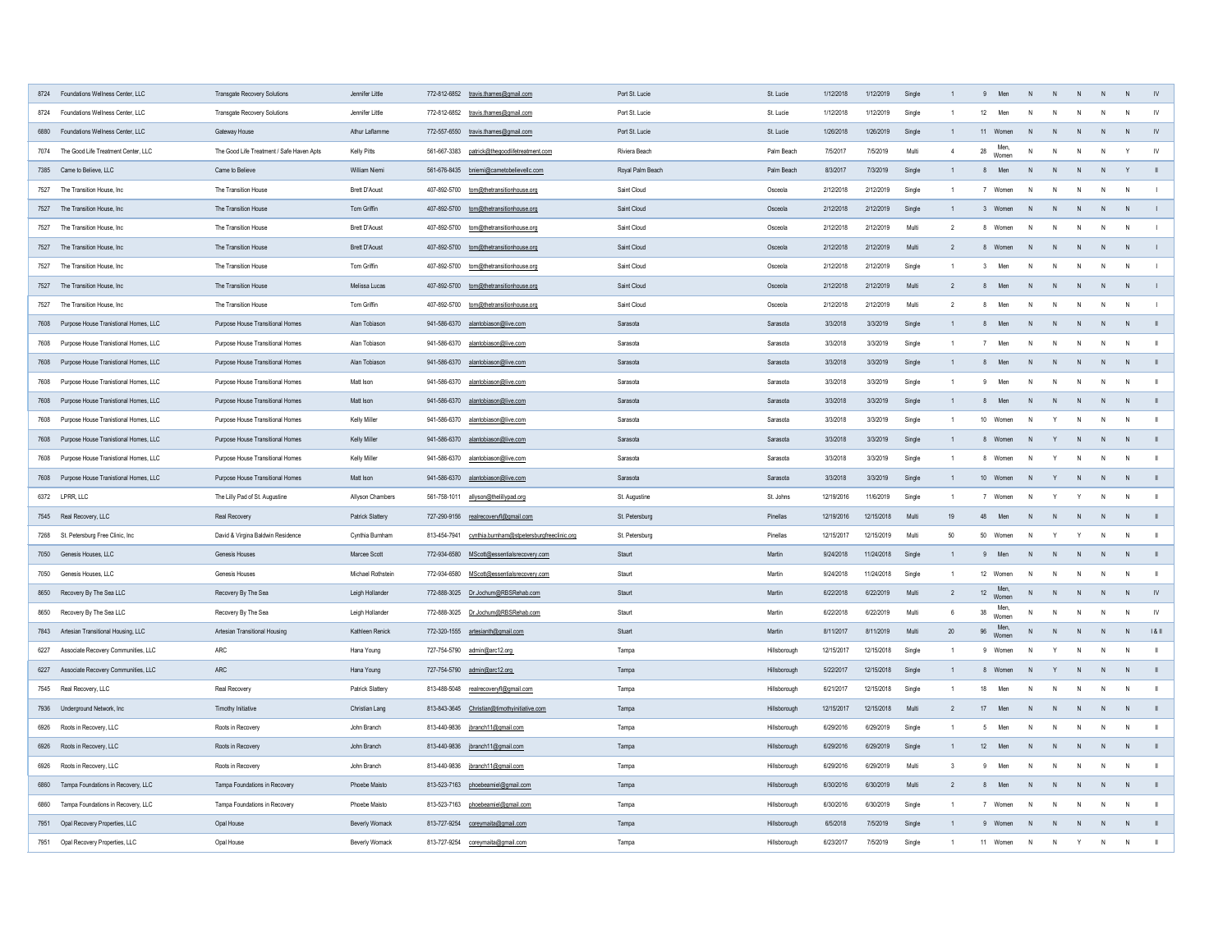|      | 8724 Foundations Wellness Center, LLC      | <b>Transgate Recovery Solutions</b>       | Jennifer Little         | 772-812-6852 travis.thames@gmail.com                    | Port St. Lucie   | St. Lucie    | 1/12/2018  | 1/12/2019  | Single |    | Men                 | N              |     | N.           | - N            |           |
|------|--------------------------------------------|-------------------------------------------|-------------------------|---------------------------------------------------------|------------------|--------------|------------|------------|--------|----|---------------------|----------------|-----|--------------|----------------|-----------|
| 8724 | <b>Foundations Wellness Center, LLC</b>    | <b>Transgate Recovery Solutions</b>       | Jennifer Little         | 772-812-6852 travis.thames@gmail.com                    | Port St. Lucie   | St. Lucie    | 1/12/2018  | 1/12/2019  | Single |    | 12<br>Men           | N.             |     | N            | N              | -IV       |
|      | 6880 Foundations Wellness Center, LLC      | <b>Gateway House</b>                      | Athur Laflamme          | 772-557-6550 travis.thames@gmail.com                    | Port St. Lucie   | St. Lucie    | 1/26/2018  | 1/26/2019  | Single |    | Women<br>11         | N.             |     | -N           |                |           |
|      | 7074 The Good Life Treatment Center, LLC   | The Good Life Treatment / Safe Haven Apts | Kelly Pitts             | 561-667-3383<br>patrick@thegoodlifetreatment.com        | Riviera Beach    | Palm Beach   | 7/5/2017   | 7/5/2019   | Multi  |    | Men,<br>28<br>Women | N.             |     | N            |                | <b>IV</b> |
|      | 7385 Came to Believe, LLC                  | Came to Believe                           | William Niemi           | 561-676-8435 bniemi@cametobelievellc.com                | Royal Palm Beach | Palm Beach   | 8/3/2017   | 7/3/2019   | Single |    | Men                 | N,             |     | -N           |                |           |
|      | 7527 The Transition House, Inc             | The Transition House                      | <b>Brett D'Aoust</b>    | 407-892-5700<br>tom@thetransitionhouse.org              | Saint Cloud      | Osceola      | 2/12/2018  | 2/12/2019  | Single |    | Women               | N.             |     | N            | $\overline{N}$ |           |
|      | 7527 The Transition House, Inc             | The Transition House                      | Tom Griffin             | 407-892-5700<br>tom@thetransitionhouse.org              | Saint Cloud      | Osceola      | 2/12/2018  | 2/12/2019  | Single |    | Women               | -N             |     | -N           | - N            |           |
|      | 7527 The Transition House, Inc             | The Transition House                      | <b>Brett D'Aoust</b>    | 407-892-5700 tom@thetransitionhouse.org                 | Saint Cloud      | Osceola      | 2/12/2018  | 2/12/2019  | Multi  |    | Women               | N              |     | N            | N              |           |
|      | 7527 The Transition House, Inc             | The Transition House                      | <b>Brett D'Aoust</b>    | 407-892-5700<br>tom@thetransitionhouse.org              | Saint Cloud      | Osceola      | 2/12/2018  | 2/12/2019  | Multi  |    | Women<br>8.         | N.             |     | N.           |                |           |
|      | 7527 The Transition House, Inc             | The Transition House                      | Tom Griffin             | 407-892-5700<br>tom@thetransitionhouse.org              | Saint Cloud      | Osceola      | 2/12/2018  | 2/12/2019  | Single |    | Men                 | N              |     | N            | N              |           |
|      | 7527 The Transition House, Inc             | The Transition House                      | Melissa Lucas           | 407-892-5700 tom@thetransitionhouse.org                 | Saint Cloud      | Osceola      | 2/12/2018  | 2/12/2019  | Multi  |    | Men<br>8            | <sup>N</sup>   |     | N            | - N            |           |
|      | 7527 The Transition House, Inc             | The Transition House                      | Tom Griffin             | 407-892-5700<br>tom@thetransitionhouse.org              | Saint Cloud      | Osceola      | 2/12/2018  | 2/12/2019  | Multi  |    | Men<br>8            | N.             |     | N.           | N              |           |
|      | 7608 Purpose House Tranistional Homes, LLC | <b>Purpose House Transitional Homes</b>   | Alan Tobiason           | 941-586-6370 alantobiason@live.com                      | Sarasota         | Sarasota     | 3/3/2018   | 3/3/2019   | Single |    | Men<br>8            | N              |     | N            | N              |           |
|      | 7608 Purpose House Tranistional Homes, LLC | <b>Purpose House Transitional Homes</b>   | Alan Tobiason           | 941-586-6370<br>alantobiason@live.com                   | Sarasota         | Sarasota     | 3/3/2018   | 3/3/2019   | Single |    | Men                 | N              | - N | N            | N              |           |
|      | 7608 Purpose House Tranistional Homes, LLC | <b>Purpose House Transitional Homes</b>   | Alan Tobiason           | 941-586-6370 alantobiason@live.com                      | Sarasota         | Sarasota     | 3/3/2018   | 3/3/2019   | Single |    | Men<br>8            | N,             |     | N            | – N            |           |
| 7608 | Purpose House Tranistional Homes, LLC      | <b>Purpose House Transitional Homes</b>   | Matt Ison               | 941-586-6370<br>alantobiason@live.com                   | Sarasota         | Sarasota     | 3/3/2018   | 3/3/2019   | Single |    | Men                 | N.             |     | <sup>N</sup> |                |           |
|      | 7608 Purpose House Tranistional Homes, LLC | <b>Purpose House Transitional Homes</b>   | Matt Ison               | 941-586-6370 alantobiason@live.com                      | Sarasota         | Sarasota     | 3/3/2018   | 3/3/2019   | Single |    | Men                 |                |     | N            |                |           |
| 7608 | Purpose House Tranistional Homes, LLC      | <b>Purpose House Transitional Homes</b>   | Kelly Miller            | 941-586-6370 alantobiason@live.com                      | Sarasota         | Sarasota     | 3/3/2018   | 3/3/2019   | Single |    | 10<br>Women         | N.             |     | N            | N              |           |
|      | 7608 Purpose House Tranistional Homes, LLC | <b>Purpose House Transitional Homes</b>   | <b>Kelly Miller</b>     | 941-586-6370 alantobiason@live.com                      | Sarasota         | Sarasota     | 3/3/2018   | 3/3/2019   | Single |    | Women<br>8          | -N             |     | -N           |                |           |
|      | 7608 Purpose House Tranistional Homes, LLC | <b>Purpose House Transitional Homes</b>   | <b>Kelly Miller</b>     | 941-586-6370<br>alantobiason@live.com                   | Sarasota         | Sarasota     | 3/3/2018   | 3/3/2019   | Single |    | Women               | N              |     | N            | N              |           |
|      | 7608 Purpose House Tranistional Homes, LLC | <b>Purpose House Transitional Homes</b>   | Matt Ison               | 941-586-6370 alantobiason@live.com                      | Sarasota         | Sarasota     | 3/3/2018   | 3/3/2019   | Single |    | 10<br>Women         | N.             |     | N            |                |           |
|      | 6372 LPRR, LLC                             | The Lilly Pad of St. Augustine            | Allyson Chambers        | 561-758-1011<br>allyson@thelillypad.org                 | St. Augustine    | St. Johns    | 12/19/2016 | 11/6/2019  | Single |    | Women               |                |     | <sup>N</sup> |                |           |
|      | 7545 Real Recovery, LLC                    | <b>Real Recovery</b>                      | <b>Patrick Slattery</b> | 727-290-9156 realrecoveryfl@gmail.com                   | St. Petersburg   | Pinellas     | 12/19/2016 | 12/15/2018 | Multi  | 19 | 48<br>Men           | N.             |     | -N           |                |           |
|      | 7268 St. Petersburg Free Clinic, Inc       | David & Virgina Baldwin Residence         | Cynthia Burnham         | 813-454-7941 cynthia.burnham@stpetersburgfreeclinic.org | St. Petersburg   | Pinellas     | 12/15/2017 | 12/15/2019 | Multi  | 50 | 50<br>Women         | N              |     | N            | - N            |           |
|      | 7050 Genesis Houses, LLC                   | <b>Genesis Houses</b>                     | Marcee Scott            | 772-934-6580 MScott@essentialsrecovery.com              | Staurt           | Martin       | 9/24/2018  | 11/24/2018 | Single |    | Men<br>9            | N.             |     | N            | - N            |           |
|      | 7050 Genesis Houses, LLC                   | Genesis Houses                            | Michael Rothstein       | MScott@essentialsrecovery.com<br>772-934-6580           | Staurt           | Martin       | 9/24/2018  | 11/24/2018 | Single |    | 12 Women            | N.             |     | N            | N              |           |
|      | 8650 Recovery By The Sea LLC               | Recovery By The Sea                       | Leigh Hollander         | 772-888-3025 Dr.Jochum@RBSRehab.com                     | Staurt           | Martin       | 6/22/2018  | 6/22/2019  | Multi  |    | 12 Men,<br>Women    | N              |     | N            |                |           |
| 8650 | Recovery By The Sea LLC                    | Recovery By The Sea                       | Leigh Hollander         | 772-888-3025 Dr.Jochum@RBSRehab.com                     | Staurt           | Martin       | 6/22/2018  | 6/22/2019  | Multi  |    | Men<br>38<br>Women  | N.             |     | N            | N              | <b>IV</b> |
|      | 7843 Artesian Transitional Housing, LLC    | <b>Artesian Transitional Housing</b>      | Kathleen Renick         | 772-320-1555 artesianth@gmail.com                       | Stuart           | Martin       | 8/11/2017  | 8/11/2019  | Multi  | 20 | Men,<br>96<br>Women |                |     | N            |                | 181       |
| 6227 | Associate Recovery Communities, LLC        | ARC                                       | Hana Young              | 727-754-5790 admin@arc12.org                            | Tampa            | Hillsborough | 12/15/2017 | 12/15/2018 | Single |    | Women               | <sup>N</sup>   |     | N            | - N            |           |
|      | 6227 Associate Recovery Communities, LLC   | ARC                                       | Hana Young              | 727-754-5790 admin@arc12.org                            | Tampa            | Hillsborough | 5/22/2017  | 12/15/2018 | Single |    | Women<br>8          | <sup>N</sup>   |     | N            |                |           |
|      | 7545 Real Recovery, LLC                    | Real Recovery                             | <b>Patrick Slattery</b> | 813-488-5048 realrecoveryfl@gmail.com                   | Tampa            | Hillsborough | 6/21/2017  | 12/15/2018 | Single |    | Men<br>18           | N              |     | <sup>N</sup> |                |           |
|      | 7936 Underground Network, Inc              | Timothy Initiative                        | <b>Christian Lang</b>   | 813-843-3645 Christian@timothyinitiative.com            | Tampa            | Hillsborough | 12/15/2017 | 12/15/2018 | Multi  |    | 17<br>Men           | N              |     | <sup>N</sup> |                |           |
|      | 6926 Roots in Recovery, LLC                | Roots in Recovery                         | John Branch             | 813-440-9836   jbranch11@gmail.com                      | Tampa            | Hillsborough | 6/29/2016  | 6/29/2019  | Single |    | Men                 | $\mathsf{N}$   |     | N            |                |           |
|      | 6926 Roots in Recovery, LLC                | Roots in Recovery                         | John Branch             | 813-440-9836   jbranch11@gmail.com                      | Tampa            | Hillsborough | 6/29/2016  | 6/29/2019  | Single |    | 12<br>Men           | N              |     | $\mathsf{N}$ |                |           |
|      | 6926 Roots in Recovery, LLC                | Roots in Recovery                         | John Branch             | 813-440-9836   jbranch11@gmail.com                      | Tampa            | Hillsborough | 6/29/2016  | 6/29/2019  | Multi  |    | Men<br>9            | N              |     | $\mathsf{N}$ |                |           |
|      | 6860 Tampa Foundations in Recovery, LLC    | Tampa Foundations in Recovery             | Phoebe Maisto           | 813-523-7163 phoebeamiel@gmail.com                      | Tampa            | Hillsborough | 6/30/2016  | 6/30/2019  | Multi  |    | Men<br>8.           | N              |     | N.           |                |           |
|      | 6860 Tampa Foundations in Recovery, LLC    | Tampa Foundations in Recovery             | <b>Phoebe Maisto</b>    | 813-523-7163 phoebeamiel@gmail.com                      | Tampa            | Hillsborough | 6/30/2016  | 6/30/2019  | Single |    | Women               | N.             |     | N            | N              |           |
|      | 7951 Opal Recovery Properties, LLC         | Opal House                                | <b>Beverly Womack</b>   | 813-727-9254 coreymaita@gmail.com                       | Tampa            | Hillsborough | 6/5/2018   | 7/5/2019   | Single |    | Women<br>9          | N <sub>1</sub> |     | N            | - N            |           |
|      | 7951 Opal Recovery Properties, LLC         | Opal House                                | <b>Beverly Womack</b>   | 813-727-9254 coreymaita@gmail.com                       | Tampa            | Hillsborough | 6/23/2017  | 7/5/2019   | Single |    | 11 Women            | N              |     | N            |                |           |
|      |                                            |                                           |                         |                                                         |                  |              |            |            |        |    |                     |                |     |              |                |           |